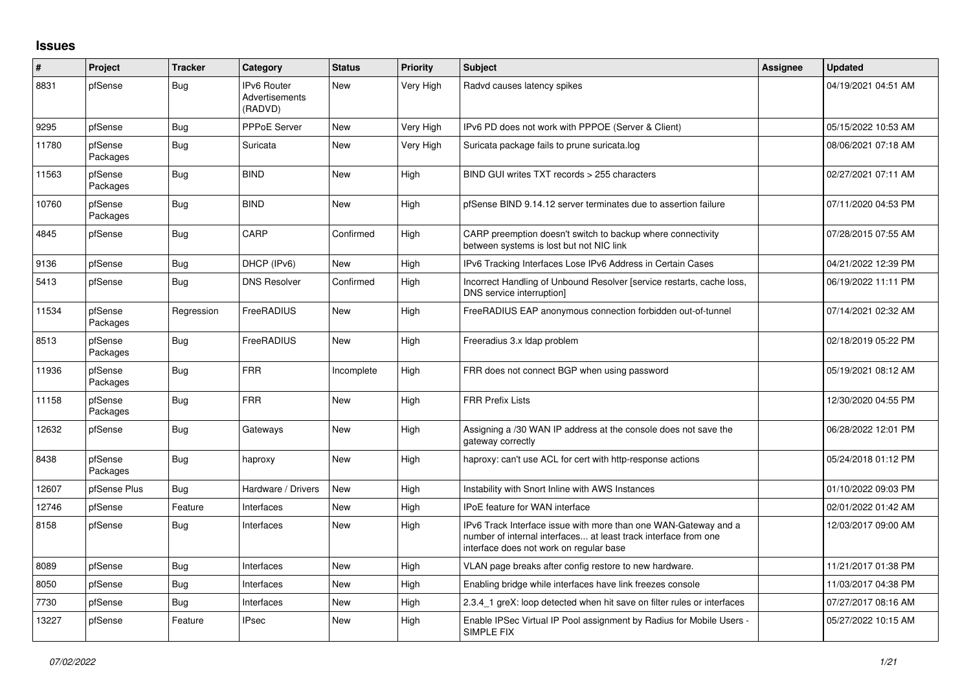## **Issues**

| #     | Project             | <b>Tracker</b> | Category                                        | <b>Status</b> | <b>Priority</b> | <b>Subject</b>                                                                                                                                                                | <b>Assignee</b> | <b>Updated</b>      |
|-------|---------------------|----------------|-------------------------------------------------|---------------|-----------------|-------------------------------------------------------------------------------------------------------------------------------------------------------------------------------|-----------------|---------------------|
| 8831  | pfSense             | Bug            | <b>IPv6 Router</b><br>Advertisements<br>(RADVD) | New           | Very High       | Radvd causes latency spikes                                                                                                                                                   |                 | 04/19/2021 04:51 AM |
| 9295  | pfSense             | Bug            | PPPoE Server                                    | New           | Very High       | IPv6 PD does not work with PPPOE (Server & Client)                                                                                                                            |                 | 05/15/2022 10:53 AM |
| 11780 | pfSense<br>Packages | <b>Bug</b>     | Suricata                                        | New           | Very High       | Suricata package fails to prune suricata.log                                                                                                                                  |                 | 08/06/2021 07:18 AM |
| 11563 | pfSense<br>Packages | <b>Bug</b>     | <b>BIND</b>                                     | <b>New</b>    | High            | BIND GUI writes TXT records > 255 characters                                                                                                                                  |                 | 02/27/2021 07:11 AM |
| 10760 | pfSense<br>Packages | <b>Bug</b>     | <b>BIND</b>                                     | <b>New</b>    | High            | pfSense BIND 9.14.12 server terminates due to assertion failure                                                                                                               |                 | 07/11/2020 04:53 PM |
| 4845  | pfSense             | <b>Bug</b>     | CARP                                            | Confirmed     | High            | CARP preemption doesn't switch to backup where connectivity<br>between systems is lost but not NIC link                                                                       |                 | 07/28/2015 07:55 AM |
| 9136  | pfSense             | Bug            | DHCP (IPv6)                                     | New           | High            | IPv6 Tracking Interfaces Lose IPv6 Address in Certain Cases                                                                                                                   |                 | 04/21/2022 12:39 PM |
| 5413  | pfSense             | <b>Bug</b>     | <b>DNS Resolver</b>                             | Confirmed     | High            | Incorrect Handling of Unbound Resolver [service restarts, cache loss,<br>DNS service interruption]                                                                            |                 | 06/19/2022 11:11 PM |
| 11534 | pfSense<br>Packages | Regression     | <b>FreeRADIUS</b>                               | <b>New</b>    | High            | FreeRADIUS EAP anonymous connection forbidden out-of-tunnel                                                                                                                   |                 | 07/14/2021 02:32 AM |
| 8513  | pfSense<br>Packages | Bug            | <b>FreeRADIUS</b>                               | <b>New</b>    | High            | Freeradius 3.x Idap problem                                                                                                                                                   |                 | 02/18/2019 05:22 PM |
| 11936 | pfSense<br>Packages | <b>Bug</b>     | <b>FRR</b>                                      | Incomplete    | High            | FRR does not connect BGP when using password                                                                                                                                  |                 | 05/19/2021 08:12 AM |
| 11158 | pfSense<br>Packages | <b>Bug</b>     | <b>FRR</b>                                      | <b>New</b>    | High            | <b>FRR Prefix Lists</b>                                                                                                                                                       |                 | 12/30/2020 04:55 PM |
| 12632 | pfSense             | <b>Bug</b>     | Gateways                                        | New           | High            | Assigning a /30 WAN IP address at the console does not save the<br>gateway correctly                                                                                          |                 | 06/28/2022 12:01 PM |
| 8438  | pfSense<br>Packages | <b>Bug</b>     | haproxy                                         | New           | High            | haproxy: can't use ACL for cert with http-response actions                                                                                                                    |                 | 05/24/2018 01:12 PM |
| 12607 | pfSense Plus        | <b>Bug</b>     | Hardware / Drivers                              | <b>New</b>    | High            | Instability with Snort Inline with AWS Instances                                                                                                                              |                 | 01/10/2022 09:03 PM |
| 12746 | pfSense             | Feature        | Interfaces                                      | New           | High            | IPoE feature for WAN interface                                                                                                                                                |                 | 02/01/2022 01:42 AM |
| 8158  | pfSense             | Bug            | Interfaces                                      | <b>New</b>    | High            | IPv6 Track Interface issue with more than one WAN-Gateway and a<br>number of internal interfaces at least track interface from one<br>interface does not work on regular base |                 | 12/03/2017 09:00 AM |
| 8089  | pfSense             | <b>Bug</b>     | Interfaces                                      | <b>New</b>    | High            | VLAN page breaks after config restore to new hardware.                                                                                                                        |                 | 11/21/2017 01:38 PM |
| 8050  | pfSense             | Bug            | Interfaces                                      | New           | High            | Enabling bridge while interfaces have link freezes console                                                                                                                    |                 | 11/03/2017 04:38 PM |
| 7730  | pfSense             | <b>Bug</b>     | Interfaces                                      | New           | High            | 2.3.4_1 greX: loop detected when hit save on filter rules or interfaces                                                                                                       |                 | 07/27/2017 08:16 AM |
| 13227 | pfSense             | Feature        | <b>IPsec</b>                                    | <b>New</b>    | High            | Enable IPSec Virtual IP Pool assignment by Radius for Mobile Users -<br>SIMPLE FIX                                                                                            |                 | 05/27/2022 10:15 AM |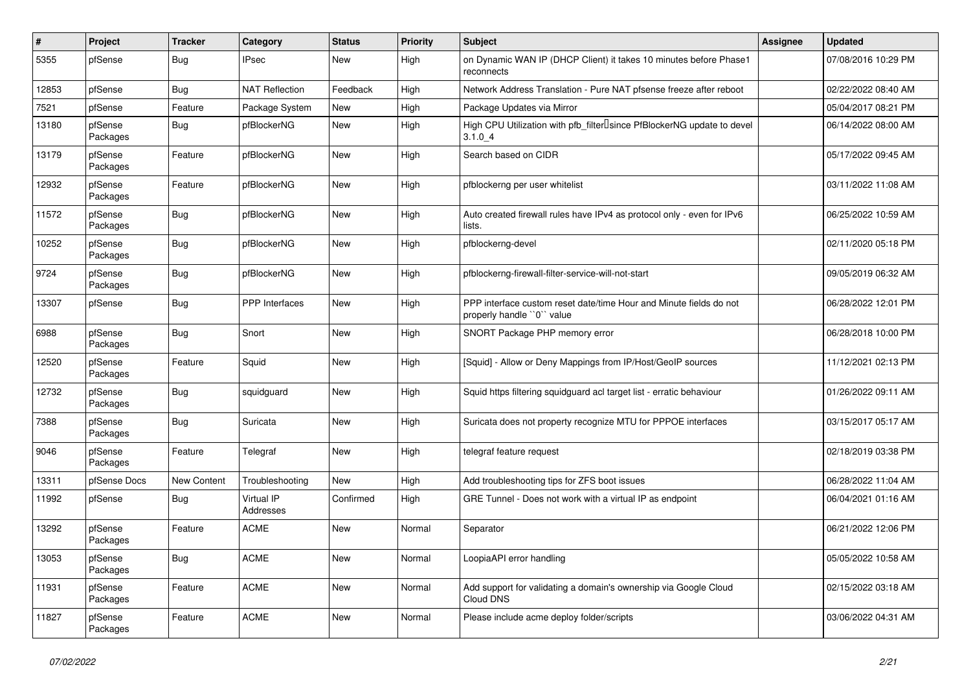| #     | Project             | <b>Tracker</b> | Category                | <b>Status</b> | <b>Priority</b> | Subject                                                                                         | Assignee | <b>Updated</b>      |
|-------|---------------------|----------------|-------------------------|---------------|-----------------|-------------------------------------------------------------------------------------------------|----------|---------------------|
| 5355  | pfSense             | <b>Bug</b>     | <b>IPsec</b>            | New           | High            | on Dynamic WAN IP (DHCP Client) it takes 10 minutes before Phase1<br>reconnects                 |          | 07/08/2016 10:29 PM |
| 12853 | pfSense             | Bug            | <b>NAT Reflection</b>   | Feedback      | High            | Network Address Translation - Pure NAT pfsense freeze after reboot                              |          | 02/22/2022 08:40 AM |
| 7521  | pfSense             | Feature        | Package System          | New           | High            | Package Updates via Mirror                                                                      |          | 05/04/2017 08:21 PM |
| 13180 | pfSense<br>Packages | <b>Bug</b>     | pfBlockerNG             | New           | High            | High CPU Utilization with pfb_filter <sup>[]</sup> since PfBlockerNG update to devel<br>3.1.04  |          | 06/14/2022 08:00 AM |
| 13179 | pfSense<br>Packages | Feature        | pfBlockerNG             | New           | High            | Search based on CIDR                                                                            |          | 05/17/2022 09:45 AM |
| 12932 | pfSense<br>Packages | Feature        | pfBlockerNG             | New           | High            | pfblockerng per user whitelist                                                                  |          | 03/11/2022 11:08 AM |
| 11572 | pfSense<br>Packages | Bug            | pfBlockerNG             | New           | High            | Auto created firewall rules have IPv4 as protocol only - even for IPv6<br>lists.                |          | 06/25/2022 10:59 AM |
| 10252 | pfSense<br>Packages | Bug            | pfBlockerNG             | New           | High            | pfblockerng-devel                                                                               |          | 02/11/2020 05:18 PM |
| 9724  | pfSense<br>Packages | <b>Bug</b>     | pfBlockerNG             | New           | High            | pfblockerng-firewall-filter-service-will-not-start                                              |          | 09/05/2019 06:32 AM |
| 13307 | pfSense             | <b>Bug</b>     | <b>PPP</b> Interfaces   | New           | High            | PPP interface custom reset date/time Hour and Minute fields do not<br>properly handle "0" value |          | 06/28/2022 12:01 PM |
| 6988  | pfSense<br>Packages | <b>Bug</b>     | Snort                   | <b>New</b>    | High            | SNORT Package PHP memory error                                                                  |          | 06/28/2018 10:00 PM |
| 12520 | pfSense<br>Packages | Feature        | Squid                   | New           | High            | [Squid] - Allow or Deny Mappings from IP/Host/GeoIP sources                                     |          | 11/12/2021 02:13 PM |
| 12732 | pfSense<br>Packages | <b>Bug</b>     | squidguard              | New           | High            | Squid https filtering squidguard acl target list - erratic behaviour                            |          | 01/26/2022 09:11 AM |
| 7388  | pfSense<br>Packages | Bug            | Suricata                | New           | High            | Suricata does not property recognize MTU for PPPOE interfaces                                   |          | 03/15/2017 05:17 AM |
| 9046  | pfSense<br>Packages | Feature        | Telegraf                | New           | High            | telegraf feature request                                                                        |          | 02/18/2019 03:38 PM |
| 13311 | pfSense Docs        | New Content    | Troubleshooting         | New           | High            | Add troubleshooting tips for ZFS boot issues                                                    |          | 06/28/2022 11:04 AM |
| 11992 | pfSense             | <b>Bug</b>     | Virtual IP<br>Addresses | Confirmed     | High            | GRE Tunnel - Does not work with a virtual IP as endpoint                                        |          | 06/04/2021 01:16 AM |
| 13292 | pfSense<br>Packages | Feature        | <b>ACME</b>             | New           | Normal          | Separator                                                                                       |          | 06/21/2022 12:06 PM |
| 13053 | pfSense<br>Packages | <b>Bug</b>     | ACME                    | New           | Normal          | LoopiaAPI error handling                                                                        |          | 05/05/2022 10:58 AM |
| 11931 | pfSense<br>Packages | Feature        | ACME                    | New           | Normal          | Add support for validating a domain's ownership via Google Cloud<br>Cloud DNS                   |          | 02/15/2022 03:18 AM |
| 11827 | pfSense<br>Packages | Feature        | ACME                    | New           | Normal          | Please include acme deploy folder/scripts                                                       |          | 03/06/2022 04:31 AM |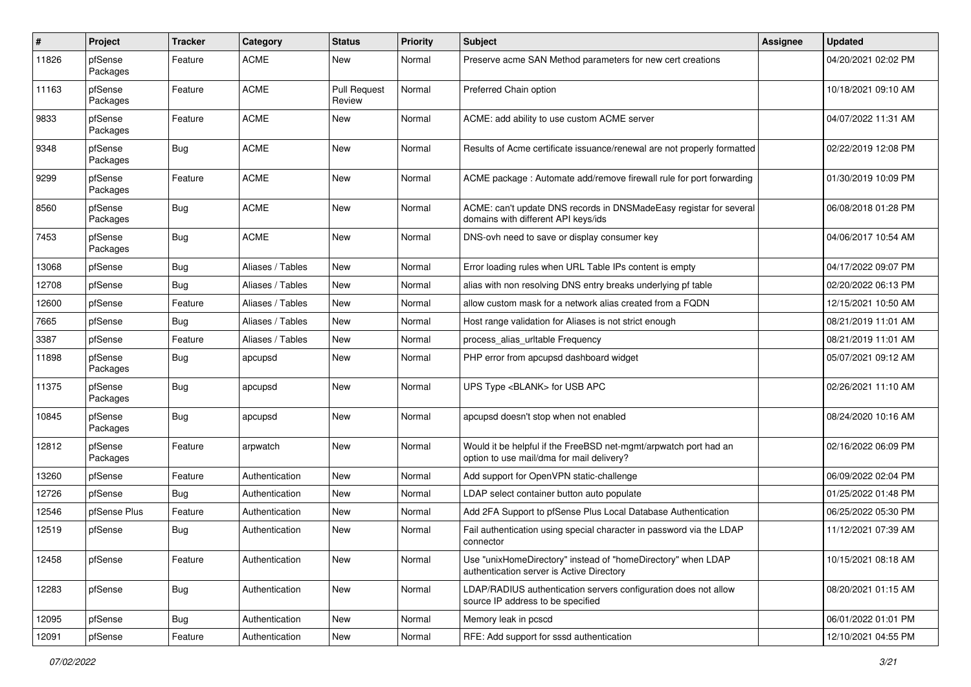| #     | Project             | <b>Tracker</b> | Category         | <b>Status</b>                 | <b>Priority</b> | Subject                                                                                                       | Assignee | <b>Updated</b>      |
|-------|---------------------|----------------|------------------|-------------------------------|-----------------|---------------------------------------------------------------------------------------------------------------|----------|---------------------|
| 11826 | pfSense<br>Packages | Feature        | <b>ACME</b>      | New                           | Normal          | Preserve acme SAN Method parameters for new cert creations                                                    |          | 04/20/2021 02:02 PM |
| 11163 | pfSense<br>Packages | Feature        | <b>ACME</b>      | <b>Pull Request</b><br>Review | Normal          | Preferred Chain option                                                                                        |          | 10/18/2021 09:10 AM |
| 9833  | pfSense<br>Packages | Feature        | <b>ACME</b>      | <b>New</b>                    | Normal          | ACME: add ability to use custom ACME server                                                                   |          | 04/07/2022 11:31 AM |
| 9348  | pfSense<br>Packages | Bug            | <b>ACME</b>      | <b>New</b>                    | Normal          | Results of Acme certificate issuance/renewal are not properly formatted                                       |          | 02/22/2019 12:08 PM |
| 9299  | pfSense<br>Packages | Feature        | <b>ACME</b>      | New                           | Normal          | ACME package: Automate add/remove firewall rule for port forwarding                                           |          | 01/30/2019 10:09 PM |
| 8560  | pfSense<br>Packages | Bug            | <b>ACME</b>      | New                           | Normal          | ACME: can't update DNS records in DNSMadeEasy registar for several<br>domains with different API keys/ids     |          | 06/08/2018 01:28 PM |
| 7453  | pfSense<br>Packages | <b>Bug</b>     | <b>ACME</b>      | New                           | Normal          | DNS-ovh need to save or display consumer key                                                                  |          | 04/06/2017 10:54 AM |
| 13068 | pfSense             | Bug            | Aliases / Tables | New                           | Normal          | Error loading rules when URL Table IPs content is empty                                                       |          | 04/17/2022 09:07 PM |
| 12708 | pfSense             | Bug            | Aliases / Tables | New                           | Normal          | alias with non resolving DNS entry breaks underlying pf table                                                 |          | 02/20/2022 06:13 PM |
| 12600 | pfSense             | Feature        | Aliases / Tables | New                           | Normal          | allow custom mask for a network alias created from a FQDN                                                     |          | 12/15/2021 10:50 AM |
| 7665  | pfSense             | Bug            | Aliases / Tables | <b>New</b>                    | Normal          | Host range validation for Aliases is not strict enough                                                        |          | 08/21/2019 11:01 AM |
| 3387  | pfSense             | Feature        | Aliases / Tables | New                           | Normal          | process alias urltable Frequency                                                                              |          | 08/21/2019 11:01 AM |
| 11898 | pfSense<br>Packages | <b>Bug</b>     | apcupsd          | New                           | Normal          | PHP error from apcupsd dashboard widget                                                                       |          | 05/07/2021 09:12 AM |
| 11375 | pfSense<br>Packages | <b>Bug</b>     | apcupsd          | New                           | Normal          | UPS Type <blank> for USB APC</blank>                                                                          |          | 02/26/2021 11:10 AM |
| 10845 | pfSense<br>Packages | <b>Bug</b>     | apcupsd          | <b>New</b>                    | Normal          | apcupsd doesn't stop when not enabled                                                                         |          | 08/24/2020 10:16 AM |
| 12812 | pfSense<br>Packages | Feature        | arpwatch         | New                           | Normal          | Would it be helpful if the FreeBSD net-mgmt/arpwatch port had an<br>option to use mail/dma for mail delivery? |          | 02/16/2022 06:09 PM |
| 13260 | pfSense             | Feature        | Authentication   | New                           | Normal          | Add support for OpenVPN static-challenge                                                                      |          | 06/09/2022 02:04 PM |
| 12726 | pfSense             | <b>Bug</b>     | Authentication   | <b>New</b>                    | Normal          | LDAP select container button auto populate                                                                    |          | 01/25/2022 01:48 PM |
| 12546 | pfSense Plus        | Feature        | Authentication   | New                           | Normal          | Add 2FA Support to pfSense Plus Local Database Authentication                                                 |          | 06/25/2022 05:30 PM |
| 12519 | pfSense             | <b>Bug</b>     | Authentication   | New                           | Normal          | Fail authentication using special character in password via the LDAP<br>connector                             |          | 11/12/2021 07:39 AM |
| 12458 | pfSense             | Feature        | Authentication   | New                           | Normal          | Use "unixHomeDirectory" instead of "homeDirectory" when LDAP<br>authentication server is Active Directory     |          | 10/15/2021 08:18 AM |
| 12283 | pfSense             | <b>Bug</b>     | Authentication   | New                           | Normal          | LDAP/RADIUS authentication servers configuration does not allow<br>source IP address to be specified          |          | 08/20/2021 01:15 AM |
| 12095 | pfSense             | Bug            | Authentication   | New                           | Normal          | Memory leak in pcscd                                                                                          |          | 06/01/2022 01:01 PM |
| 12091 | pfSense             | Feature        | Authentication   | New                           | Normal          | RFE: Add support for sssd authentication                                                                      |          | 12/10/2021 04:55 PM |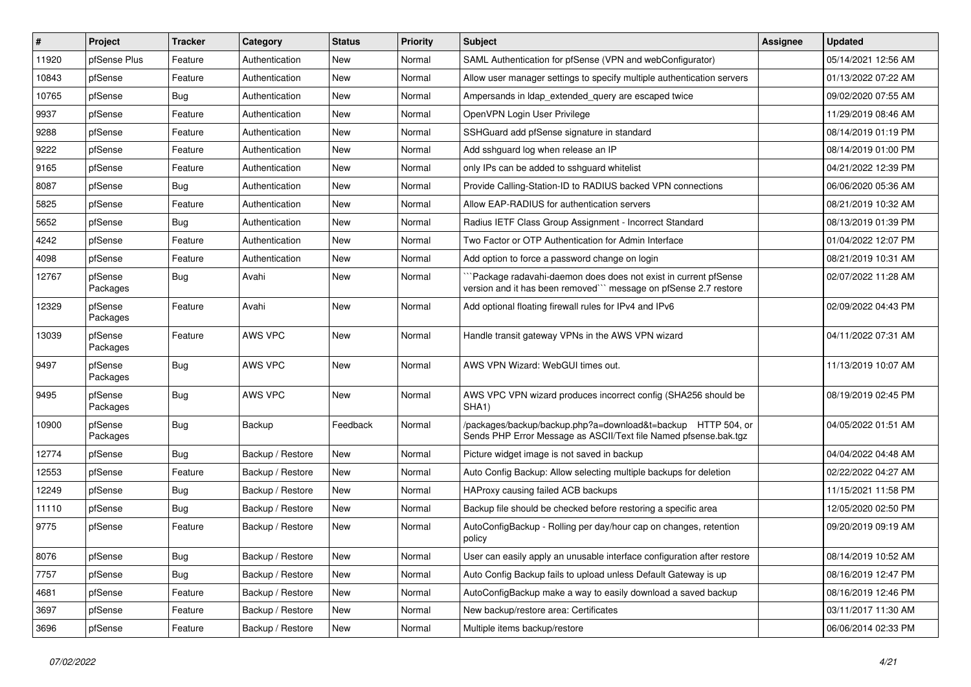| $\vert$ # | Project             | <b>Tracker</b> | Category         | <b>Status</b> | <b>Priority</b> | Subject                                                                                                                              | <b>Assignee</b> | <b>Updated</b>      |
|-----------|---------------------|----------------|------------------|---------------|-----------------|--------------------------------------------------------------------------------------------------------------------------------------|-----------------|---------------------|
| 11920     | pfSense Plus        | Feature        | Authentication   | New           | Normal          | SAML Authentication for pfSense (VPN and webConfigurator)                                                                            |                 | 05/14/2021 12:56 AM |
| 10843     | pfSense             | Feature        | Authentication   | <b>New</b>    | Normal          | Allow user manager settings to specify multiple authentication servers                                                               |                 | 01/13/2022 07:22 AM |
| 10765     | pfSense             | Bug            | Authentication   | New           | Normal          | Ampersands in Idap extended query are escaped twice                                                                                  |                 | 09/02/2020 07:55 AM |
| 9937      | pfSense             | Feature        | Authentication   | <b>New</b>    | Normal          | OpenVPN Login User Privilege                                                                                                         |                 | 11/29/2019 08:46 AM |
| 9288      | pfSense             | Feature        | Authentication   | New           | Normal          | SSHGuard add pfSense signature in standard                                                                                           |                 | 08/14/2019 01:19 PM |
| 9222      | pfSense             | Feature        | Authentication   | New           | Normal          | Add sshquard log when release an IP                                                                                                  |                 | 08/14/2019 01:00 PM |
| 9165      | pfSense             | Feature        | Authentication   | New           | Normal          | only IPs can be added to sshguard whitelist                                                                                          |                 | 04/21/2022 12:39 PM |
| 8087      | pfSense             | Bug            | Authentication   | New           | Normal          | Provide Calling-Station-ID to RADIUS backed VPN connections                                                                          |                 | 06/06/2020 05:36 AM |
| 5825      | pfSense             | Feature        | Authentication   | New           | Normal          | Allow EAP-RADIUS for authentication servers                                                                                          |                 | 08/21/2019 10:32 AM |
| 5652      | pfSense             | Bug            | Authentication   | New           | Normal          | Radius IETF Class Group Assignment - Incorrect Standard                                                                              |                 | 08/13/2019 01:39 PM |
| 4242      | pfSense             | Feature        | Authentication   | New           | Normal          | Two Factor or OTP Authentication for Admin Interface                                                                                 |                 | 01/04/2022 12:07 PM |
| 4098      | pfSense             | Feature        | Authentication   | New           | Normal          | Add option to force a password change on login                                                                                       |                 | 08/21/2019 10:31 AM |
| 12767     | pfSense<br>Packages | Bug            | Avahi            | <b>New</b>    | Normal          | `Package radavahi-daemon does does not exist in current pfSense<br>version and it has been removed``` message on pfSense 2.7 restore |                 | 02/07/2022 11:28 AM |
| 12329     | pfSense<br>Packages | Feature        | Avahi            | <b>New</b>    | Normal          | Add optional floating firewall rules for IPv4 and IPv6                                                                               |                 | 02/09/2022 04:43 PM |
| 13039     | pfSense<br>Packages | Feature        | AWS VPC          | New           | Normal          | Handle transit gateway VPNs in the AWS VPN wizard                                                                                    |                 | 04/11/2022 07:31 AM |
| 9497      | pfSense<br>Packages | Bug            | AWS VPC          | New           | Normal          | AWS VPN Wizard: WebGUI times out.                                                                                                    |                 | 11/13/2019 10:07 AM |
| 9495      | pfSense<br>Packages | <b>Bug</b>     | AWS VPC          | New           | Normal          | AWS VPC VPN wizard produces incorrect config (SHA256 should be<br>SHA <sub>1</sub> )                                                 |                 | 08/19/2019 02:45 PM |
| 10900     | pfSense<br>Packages | Bug            | Backup           | Feedback      | Normal          | /packages/backup/backup.php?a=download&t=backup HTTP 504, or<br>Sends PHP Error Message as ASCII/Text file Named pfsense.bak.tgz     |                 | 04/05/2022 01:51 AM |
| 12774     | pfSense             | Bug            | Backup / Restore | New           | Normal          | Picture widget image is not saved in backup                                                                                          |                 | 04/04/2022 04:48 AM |
| 12553     | pfSense             | Feature        | Backup / Restore | <b>New</b>    | Normal          | Auto Config Backup: Allow selecting multiple backups for deletion                                                                    |                 | 02/22/2022 04:27 AM |
| 12249     | pfSense             | Bug            | Backup / Restore | New           | Normal          | HAProxy causing failed ACB backups                                                                                                   |                 | 11/15/2021 11:58 PM |
| 11110     | pfSense             | Bug            | Backup / Restore | New           | Normal          | Backup file should be checked before restoring a specific area                                                                       |                 | 12/05/2020 02:50 PM |
| 9775      | pfSense             | Feature        | Backup / Restore | New           | Normal          | AutoConfigBackup - Rolling per day/hour cap on changes, retention<br>policy                                                          |                 | 09/20/2019 09:19 AM |
| 8076      | pfSense             | <b>Bug</b>     | Backup / Restore | New           | Normal          | User can easily apply an unusable interface configuration after restore                                                              |                 | 08/14/2019 10:52 AM |
| 7757      | pfSense             | <b>Bug</b>     | Backup / Restore | New           | Normal          | Auto Config Backup fails to upload unless Default Gateway is up                                                                      |                 | 08/16/2019 12:47 PM |
| 4681      | pfSense             | Feature        | Backup / Restore | New           | Normal          | AutoConfigBackup make a way to easily download a saved backup                                                                        |                 | 08/16/2019 12:46 PM |
| 3697      | pfSense             | Feature        | Backup / Restore | New           | Normal          | New backup/restore area: Certificates                                                                                                |                 | 03/11/2017 11:30 AM |
| 3696      | pfSense             | Feature        | Backup / Restore | New           | Normal          | Multiple items backup/restore                                                                                                        |                 | 06/06/2014 02:33 PM |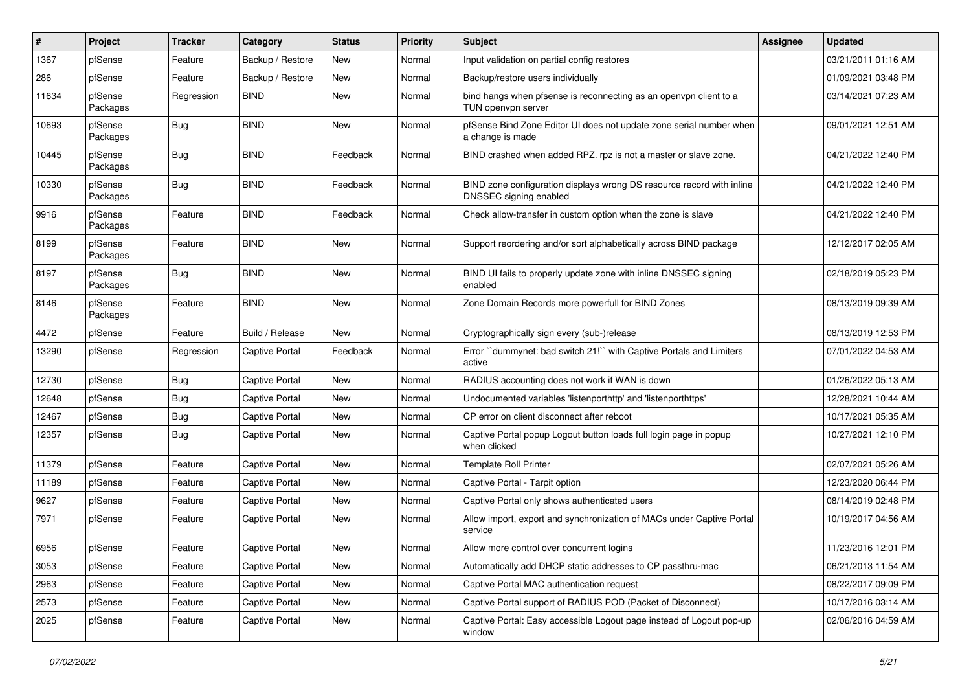| #     | Project             | Tracker    | Category              | <b>Status</b> | <b>Priority</b> | Subject                                                                                         | Assignee | <b>Updated</b>      |
|-------|---------------------|------------|-----------------------|---------------|-----------------|-------------------------------------------------------------------------------------------------|----------|---------------------|
| 1367  | pfSense             | Feature    | Backup / Restore      | New           | Normal          | Input validation on partial config restores                                                     |          | 03/21/2011 01:16 AM |
| 286   | pfSense             | Feature    | Backup / Restore      | New           | Normal          | Backup/restore users individually                                                               |          | 01/09/2021 03:48 PM |
| 11634 | pfSense<br>Packages | Regression | <b>BIND</b>           | <b>New</b>    | Normal          | bind hangs when pfsense is reconnecting as an openvpn client to a<br>TUN openvpn server         |          | 03/14/2021 07:23 AM |
| 10693 | pfSense<br>Packages | <b>Bug</b> | <b>BIND</b>           | New           | Normal          | pfSense Bind Zone Editor UI does not update zone serial number when<br>a change is made         |          | 09/01/2021 12:51 AM |
| 10445 | pfSense<br>Packages | Bug        | <b>BIND</b>           | Feedback      | Normal          | BIND crashed when added RPZ. rpz is not a master or slave zone.                                 |          | 04/21/2022 12:40 PM |
| 10330 | pfSense<br>Packages | Bug        | <b>BIND</b>           | Feedback      | Normal          | BIND zone configuration displays wrong DS resource record with inline<br>DNSSEC signing enabled |          | 04/21/2022 12:40 PM |
| 9916  | pfSense<br>Packages | Feature    | <b>BIND</b>           | Feedback      | Normal          | Check allow-transfer in custom option when the zone is slave                                    |          | 04/21/2022 12:40 PM |
| 8199  | pfSense<br>Packages | Feature    | <b>BIND</b>           | New           | Normal          | Support reordering and/or sort alphabetically across BIND package                               |          | 12/12/2017 02:05 AM |
| 8197  | pfSense<br>Packages | Bug        | <b>BIND</b>           | New           | Normal          | BIND UI fails to properly update zone with inline DNSSEC signing<br>enabled                     |          | 02/18/2019 05:23 PM |
| 8146  | pfSense<br>Packages | Feature    | <b>BIND</b>           | New           | Normal          | Zone Domain Records more powerfull for BIND Zones                                               |          | 08/13/2019 09:39 AM |
| 4472  | pfSense             | Feature    | Build / Release       | <b>New</b>    | Normal          | Cryptographically sign every (sub-)release                                                      |          | 08/13/2019 12:53 PM |
| 13290 | pfSense             | Regression | <b>Captive Portal</b> | Feedback      | Normal          | Error "dummynet: bad switch 21!" with Captive Portals and Limiters<br>active                    |          | 07/01/2022 04:53 AM |
| 12730 | pfSense             | Bug        | <b>Captive Portal</b> | New           | Normal          | RADIUS accounting does not work if WAN is down                                                  |          | 01/26/2022 05:13 AM |
| 12648 | pfSense             | <b>Bug</b> | <b>Captive Portal</b> | New           | Normal          | Undocumented variables 'listenporthttp' and 'listenporthttps'                                   |          | 12/28/2021 10:44 AM |
| 12467 | pfSense             | Bug        | <b>Captive Portal</b> | New           | Normal          | CP error on client disconnect after reboot                                                      |          | 10/17/2021 05:35 AM |
| 12357 | pfSense             | Bug        | <b>Captive Portal</b> | New           | Normal          | Captive Portal popup Logout button loads full login page in popup<br>when clicked               |          | 10/27/2021 12:10 PM |
| 11379 | pfSense             | Feature    | Captive Portal        | <b>New</b>    | Normal          | <b>Template Roll Printer</b>                                                                    |          | 02/07/2021 05:26 AM |
| 11189 | pfSense             | Feature    | <b>Captive Portal</b> | New           | Normal          | Captive Portal - Tarpit option                                                                  |          | 12/23/2020 06:44 PM |
| 9627  | pfSense             | Feature    | <b>Captive Portal</b> | New           | Normal          | Captive Portal only shows authenticated users                                                   |          | 08/14/2019 02:48 PM |
| 7971  | pfSense             | Feature    | <b>Captive Portal</b> | New           | Normal          | Allow import, export and synchronization of MACs under Captive Portal<br>service                |          | 10/19/2017 04:56 AM |
| 6956  | pfSense             | Feature    | Captive Portal        | New           | Normal          | Allow more control over concurrent logins                                                       |          | 11/23/2016 12:01 PM |
| 3053  | pfSense             | Feature    | Captive Portal        | New           | Normal          | Automatically add DHCP static addresses to CP passthru-mac                                      |          | 06/21/2013 11:54 AM |
| 2963  | pfSense             | Feature    | Captive Portal        | New           | Normal          | Captive Portal MAC authentication request                                                       |          | 08/22/2017 09:09 PM |
| 2573  | pfSense             | Feature    | <b>Captive Portal</b> | New           | Normal          | Captive Portal support of RADIUS POD (Packet of Disconnect)                                     |          | 10/17/2016 03:14 AM |
| 2025  | pfSense             | Feature    | <b>Captive Portal</b> | New           | Normal          | Captive Portal: Easy accessible Logout page instead of Logout pop-up<br>window                  |          | 02/06/2016 04:59 AM |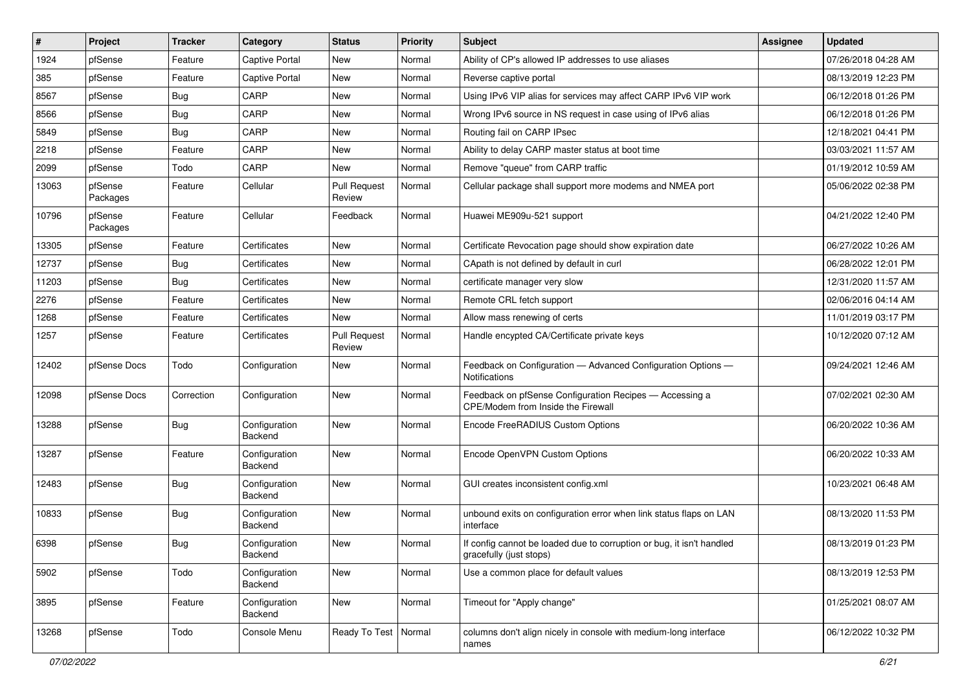| #     | Project             | <b>Tracker</b> | Category                        | <b>Status</b>                 | <b>Priority</b> | <b>Subject</b>                                                                                   | <b>Assignee</b> | <b>Updated</b>      |
|-------|---------------------|----------------|---------------------------------|-------------------------------|-----------------|--------------------------------------------------------------------------------------------------|-----------------|---------------------|
| 1924  | pfSense             | Feature        | <b>Captive Portal</b>           | New                           | Normal          | Ability of CP's allowed IP addresses to use aliases                                              |                 | 07/26/2018 04:28 AM |
| 385   | pfSense             | Feature        | <b>Captive Portal</b>           | New                           | Normal          | Reverse captive portal                                                                           |                 | 08/13/2019 12:23 PM |
| 8567  | pfSense             | Bug            | CARP                            | New                           | Normal          | Using IPv6 VIP alias for services may affect CARP IPv6 VIP work                                  |                 | 06/12/2018 01:26 PM |
| 8566  | pfSense             | Bug            | CARP                            | New                           | Normal          | Wrong IPv6 source in NS request in case using of IPv6 alias                                      |                 | 06/12/2018 01:26 PM |
| 5849  | pfSense             | <b>Bug</b>     | CARP                            | New                           | Normal          | Routing fail on CARP IPsec                                                                       |                 | 12/18/2021 04:41 PM |
| 2218  | pfSense             | Feature        | CARP                            | New                           | Normal          | Ability to delay CARP master status at boot time                                                 |                 | 03/03/2021 11:57 AM |
| 2099  | pfSense             | Todo           | CARP                            | New                           | Normal          | Remove "queue" from CARP traffic                                                                 |                 | 01/19/2012 10:59 AM |
| 13063 | pfSense<br>Packages | Feature        | Cellular                        | <b>Pull Request</b><br>Review | Normal          | Cellular package shall support more modems and NMEA port                                         |                 | 05/06/2022 02:38 PM |
| 10796 | pfSense<br>Packages | Feature        | Cellular                        | Feedback                      | Normal          | Huawei ME909u-521 support                                                                        |                 | 04/21/2022 12:40 PM |
| 13305 | pfSense             | Feature        | Certificates                    | New                           | Normal          | Certificate Revocation page should show expiration date                                          |                 | 06/27/2022 10:26 AM |
| 12737 | pfSense             | Bug            | Certificates                    | New                           | Normal          | CApath is not defined by default in curl                                                         |                 | 06/28/2022 12:01 PM |
| 11203 | pfSense             | Bug            | Certificates                    | New                           | Normal          | certificate manager very slow                                                                    |                 | 12/31/2020 11:57 AM |
| 2276  | pfSense             | Feature        | Certificates                    | New                           | Normal          | Remote CRL fetch support                                                                         |                 | 02/06/2016 04:14 AM |
| 1268  | pfSense             | Feature        | Certificates                    | New                           | Normal          | Allow mass renewing of certs                                                                     |                 | 11/01/2019 03:17 PM |
| 1257  | pfSense             | Feature        | Certificates                    | <b>Pull Request</b><br>Review | Normal          | Handle encypted CA/Certificate private keys                                                      |                 | 10/12/2020 07:12 AM |
| 12402 | pfSense Docs        | Todo           | Configuration                   | New                           | Normal          | Feedback on Configuration - Advanced Configuration Options -<br>Notifications                    |                 | 09/24/2021 12:46 AM |
| 12098 | pfSense Docs        | Correction     | Configuration                   | New                           | Normal          | Feedback on pfSense Configuration Recipes - Accessing a<br>CPE/Modem from Inside the Firewall    |                 | 07/02/2021 02:30 AM |
| 13288 | pfSense             | Bug            | Configuration<br>Backend        | New                           | Normal          | Encode FreeRADIUS Custom Options                                                                 |                 | 06/20/2022 10:36 AM |
| 13287 | pfSense             | Feature        | Configuration<br>Backend        | New                           | Normal          | Encode OpenVPN Custom Options                                                                    |                 | 06/20/2022 10:33 AM |
| 12483 | pfSense             | Bug            | Configuration<br>Backend        | New                           | Normal          | GUI creates inconsistent config.xml                                                              |                 | 10/23/2021 06:48 AM |
| 10833 | pfSense             | Bug            | Configuration<br><b>Backend</b> | New                           | Normal          | unbound exits on configuration error when link status flaps on LAN<br>interface                  |                 | 08/13/2020 11:53 PM |
| 6398  | pfSense             | <b>Bug</b>     | Configuration<br>Backend        | New                           | Normal          | If config cannot be loaded due to corruption or bug, it isn't handled<br>gracefully (just stops) |                 | 08/13/2019 01:23 PM |
| 5902  | pfSense             | Todo           | Configuration<br>Backend        | New                           | Normal          | Use a common place for default values                                                            |                 | 08/13/2019 12:53 PM |
| 3895  | pfSense             | Feature        | Configuration<br>Backend        | New                           | Normal          | Timeout for "Apply change"                                                                       |                 | 01/25/2021 08:07 AM |
| 13268 | pfSense             | Todo           | Console Menu                    | Ready To Test   Normal        |                 | columns don't align nicely in console with medium-long interface<br>names                        |                 | 06/12/2022 10:32 PM |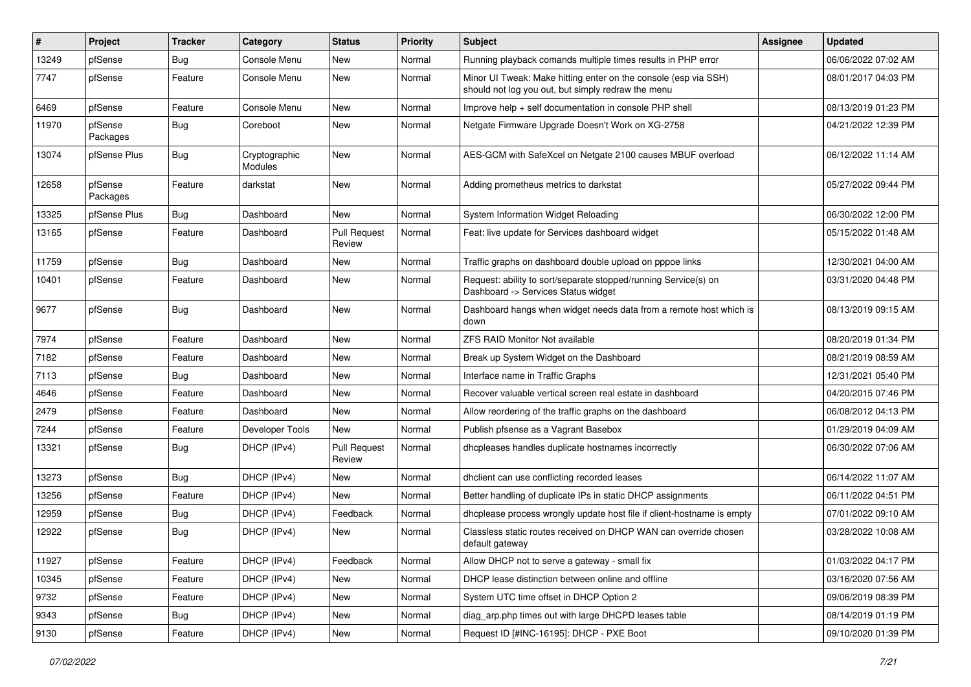| $\vert$ # | Project             | <b>Tracker</b> | Category                        | <b>Status</b>                 | <b>Priority</b> | Subject                                                                                                               | Assignee | <b>Updated</b>      |
|-----------|---------------------|----------------|---------------------------------|-------------------------------|-----------------|-----------------------------------------------------------------------------------------------------------------------|----------|---------------------|
| 13249     | pfSense             | Bug            | Console Menu                    | New                           | Normal          | Running playback comands multiple times results in PHP error                                                          |          | 06/06/2022 07:02 AM |
| 7747      | pfSense             | Feature        | Console Menu                    | <b>New</b>                    | Normal          | Minor UI Tweak: Make hitting enter on the console (esp via SSH)<br>should not log you out, but simply redraw the menu |          | 08/01/2017 04:03 PM |
| 6469      | pfSense             | Feature        | Console Menu                    | New                           | Normal          | Improve help + self documentation in console PHP shell                                                                |          | 08/13/2019 01:23 PM |
| 11970     | pfSense<br>Packages | <b>Bug</b>     | Coreboot                        | New                           | Normal          | Netgate Firmware Upgrade Doesn't Work on XG-2758                                                                      |          | 04/21/2022 12:39 PM |
| 13074     | pfSense Plus        | Bug            | Cryptographic<br><b>Modules</b> | New                           | Normal          | AES-GCM with SafeXcel on Netgate 2100 causes MBUF overload                                                            |          | 06/12/2022 11:14 AM |
| 12658     | pfSense<br>Packages | Feature        | darkstat                        | New                           | Normal          | Adding prometheus metrics to darkstat                                                                                 |          | 05/27/2022 09:44 PM |
| 13325     | pfSense Plus        | Bug            | Dashboard                       | New                           | Normal          | System Information Widget Reloading                                                                                   |          | 06/30/2022 12:00 PM |
| 13165     | pfSense             | Feature        | Dashboard                       | <b>Pull Request</b><br>Review | Normal          | Feat: live update for Services dashboard widget                                                                       |          | 05/15/2022 01:48 AM |
| 11759     | pfSense             | Bug            | Dashboard                       | New                           | Normal          | Traffic graphs on dashboard double upload on pppoe links                                                              |          | 12/30/2021 04:00 AM |
| 10401     | pfSense             | Feature        | Dashboard                       | New                           | Normal          | Request: ability to sort/separate stopped/running Service(s) on<br>Dashboard -> Services Status widget                |          | 03/31/2020 04:48 PM |
| 9677      | pfSense             | Bug            | Dashboard                       | <b>New</b>                    | Normal          | Dashboard hangs when widget needs data from a remote host which is<br>down                                            |          | 08/13/2019 09:15 AM |
| 7974      | pfSense             | Feature        | Dashboard                       | <b>New</b>                    | Normal          | <b>ZFS RAID Monitor Not available</b>                                                                                 |          | 08/20/2019 01:34 PM |
| 7182      | pfSense             | Feature        | Dashboard                       | New                           | Normal          | Break up System Widget on the Dashboard                                                                               |          | 08/21/2019 08:59 AM |
| 7113      | pfSense             | <b>Bug</b>     | Dashboard                       | <b>New</b>                    | Normal          | Interface name in Traffic Graphs                                                                                      |          | 12/31/2021 05:40 PM |
| 4646      | pfSense             | Feature        | Dashboard                       | New                           | Normal          | Recover valuable vertical screen real estate in dashboard                                                             |          | 04/20/2015 07:46 PM |
| 2479      | pfSense             | Feature        | Dashboard                       | New                           | Normal          | Allow reordering of the traffic graphs on the dashboard                                                               |          | 06/08/2012 04:13 PM |
| 7244      | pfSense             | Feature        | Developer Tools                 | <b>New</b>                    | Normal          | Publish pfsense as a Vagrant Basebox                                                                                  |          | 01/29/2019 04:09 AM |
| 13321     | pfSense             | Bug            | DHCP (IPv4)                     | <b>Pull Request</b><br>Review | Normal          | dhcpleases handles duplicate hostnames incorrectly                                                                    |          | 06/30/2022 07:06 AM |
| 13273     | pfSense             | Bug            | DHCP (IPv4)                     | <b>New</b>                    | Normal          | dhclient can use conflicting recorded leases                                                                          |          | 06/14/2022 11:07 AM |
| 13256     | pfSense             | Feature        | DHCP (IPv4)                     | New                           | Normal          | Better handling of duplicate IPs in static DHCP assignments                                                           |          | 06/11/2022 04:51 PM |
| 12959     | pfSense             | Bug            | DHCP (IPv4)                     | Feedback                      | Normal          | dhcplease process wrongly update host file if client-hostname is empty                                                |          | 07/01/2022 09:10 AM |
| 12922     | pfSense             | Bug            | DHCP (IPv4)                     | New                           | Normal          | Classless static routes received on DHCP WAN can override chosen<br>default gateway                                   |          | 03/28/2022 10:08 AM |
| 11927     | pfSense             | Feature        | DHCP (IPv4)                     | Feedback                      | Normal          | Allow DHCP not to serve a gateway - small fix                                                                         |          | 01/03/2022 04:17 PM |
| 10345     | pfSense             | Feature        | DHCP (IPv4)                     | New                           | Normal          | DHCP lease distinction between online and offline                                                                     |          | 03/16/2020 07:56 AM |
| 9732      | pfSense             | Feature        | DHCP (IPv4)                     | New                           | Normal          | System UTC time offset in DHCP Option 2                                                                               |          | 09/06/2019 08:39 PM |
| 9343      | pfSense             | <b>Bug</b>     | DHCP (IPv4)                     | New                           | Normal          | diag_arp.php times out with large DHCPD leases table                                                                  |          | 08/14/2019 01:19 PM |
| 9130      | pfSense             | Feature        | DHCP (IPv4)                     | New                           | Normal          | Request ID [#INC-16195]: DHCP - PXE Boot                                                                              |          | 09/10/2020 01:39 PM |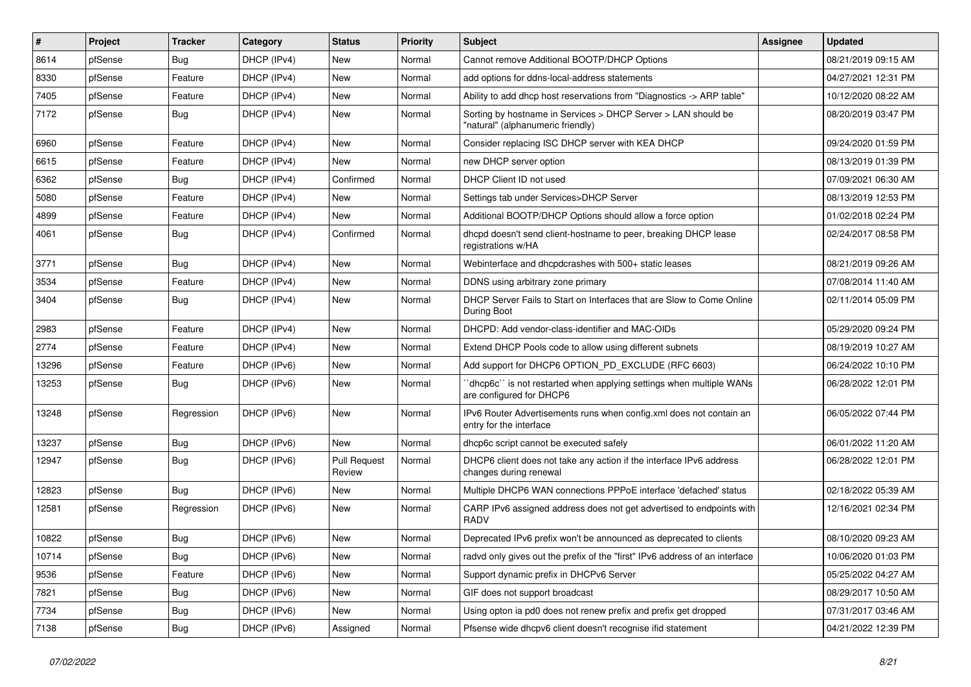| $\#$  | Project | <b>Tracker</b> | Category    | <b>Status</b>                 | <b>Priority</b> | Subject                                                                                            | Assignee | <b>Updated</b>      |
|-------|---------|----------------|-------------|-------------------------------|-----------------|----------------------------------------------------------------------------------------------------|----------|---------------------|
| 8614  | pfSense | Bug            | DHCP (IPv4) | New                           | Normal          | Cannot remove Additional BOOTP/DHCP Options                                                        |          | 08/21/2019 09:15 AM |
| 8330  | pfSense | Feature        | DHCP (IPv4) | New                           | Normal          | add options for ddns-local-address statements                                                      |          | 04/27/2021 12:31 PM |
| 7405  | pfSense | Feature        | DHCP (IPv4) | New                           | Normal          | Ability to add dhcp host reservations from "Diagnostics -> ARP table"                              |          | 10/12/2020 08:22 AM |
| 7172  | pfSense | Bug            | DHCP (IPv4) | New                           | Normal          | Sorting by hostname in Services > DHCP Server > LAN should be<br>"natural" (alphanumeric friendly) |          | 08/20/2019 03:47 PM |
| 6960  | pfSense | Feature        | DHCP (IPv4) | New                           | Normal          | Consider replacing ISC DHCP server with KEA DHCP                                                   |          | 09/24/2020 01:59 PM |
| 6615  | pfSense | Feature        | DHCP (IPv4) | <b>New</b>                    | Normal          | new DHCP server option                                                                             |          | 08/13/2019 01:39 PM |
| 6362  | pfSense | <b>Bug</b>     | DHCP (IPv4) | Confirmed                     | Normal          | DHCP Client ID not used                                                                            |          | 07/09/2021 06:30 AM |
| 5080  | pfSense | Feature        | DHCP (IPv4) | <b>New</b>                    | Normal          | Settings tab under Services>DHCP Server                                                            |          | 08/13/2019 12:53 PM |
| 4899  | pfSense | Feature        | DHCP (IPv4) | New                           | Normal          | Additional BOOTP/DHCP Options should allow a force option                                          |          | 01/02/2018 02:24 PM |
| 4061  | pfSense | Bug            | DHCP (IPv4) | Confirmed                     | Normal          | dhcpd doesn't send client-hostname to peer, breaking DHCP lease<br>registrations w/HA              |          | 02/24/2017 08:58 PM |
| 3771  | pfSense | Bug            | DHCP (IPv4) | New                           | Normal          | Webinterface and dhcpdcrashes with 500+ static leases                                              |          | 08/21/2019 09:26 AM |
| 3534  | pfSense | Feature        | DHCP (IPv4) | New                           | Normal          | DDNS using arbitrary zone primary                                                                  |          | 07/08/2014 11:40 AM |
| 3404  | pfSense | Bug            | DHCP (IPv4) | New                           | Normal          | DHCP Server Fails to Start on Interfaces that are Slow to Come Online<br>During Boot               |          | 02/11/2014 05:09 PM |
| 2983  | pfSense | Feature        | DHCP (IPv4) | New                           | Normal          | DHCPD: Add vendor-class-identifier and MAC-OIDs                                                    |          | 05/29/2020 09:24 PM |
| 2774  | pfSense | Feature        | DHCP (IPv4) | New                           | Normal          | Extend DHCP Pools code to allow using different subnets                                            |          | 08/19/2019 10:27 AM |
| 13296 | pfSense | Feature        | DHCP (IPv6) | New                           | Normal          | Add support for DHCP6 OPTION_PD_EXCLUDE (RFC 6603)                                                 |          | 06/24/2022 10:10 PM |
| 13253 | pfSense | Bug            | DHCP (IPv6) | New                           | Normal          | "dhcp6c" is not restarted when applying settings when multiple WANs<br>are configured for DHCP6    |          | 06/28/2022 12:01 PM |
| 13248 | pfSense | Regression     | DHCP (IPv6) | New                           | Normal          | IPv6 Router Advertisements runs when config.xml does not contain an<br>entry for the interface     |          | 06/05/2022 07:44 PM |
| 13237 | pfSense | Bug            | DHCP (IPv6) | New                           | Normal          | dhcp6c script cannot be executed safely                                                            |          | 06/01/2022 11:20 AM |
| 12947 | pfSense | Bug            | DHCP (IPv6) | <b>Pull Request</b><br>Review | Normal          | DHCP6 client does not take any action if the interface IPv6 address<br>changes during renewal      |          | 06/28/2022 12:01 PM |
| 12823 | pfSense | Bug            | DHCP (IPv6) | New                           | Normal          | Multiple DHCP6 WAN connections PPPoE interface 'defached' status                                   |          | 02/18/2022 05:39 AM |
| 12581 | pfSense | Regression     | DHCP (IPv6) | <b>New</b>                    | Normal          | CARP IPv6 assigned address does not get advertised to endpoints with<br><b>RADV</b>                |          | 12/16/2021 02:34 PM |
| 10822 | pfSense | Bug            | DHCP (IPv6) | New                           | Normal          | Deprecated IPv6 prefix won't be announced as deprecated to clients                                 |          | 08/10/2020 09:23 AM |
| 10714 | pfSense | <b>Bug</b>     | DHCP (IPv6) | New                           | Normal          | radvd only gives out the prefix of the "first" IPv6 address of an interface                        |          | 10/06/2020 01:03 PM |
| 9536  | pfSense | Feature        | DHCP (IPv6) | New                           | Normal          | Support dynamic prefix in DHCPv6 Server                                                            |          | 05/25/2022 04:27 AM |
| 7821  | pfSense | <b>Bug</b>     | DHCP (IPv6) | New                           | Normal          | GIF does not support broadcast                                                                     |          | 08/29/2017 10:50 AM |
| 7734  | pfSense | Bug            | DHCP (IPv6) | New                           | Normal          | Using opton ia pd0 does not renew prefix and prefix get dropped                                    |          | 07/31/2017 03:46 AM |
| 7138  | pfSense | <b>Bug</b>     | DHCP (IPv6) | Assigned                      | Normal          | Pfsense wide dhcpv6 client doesn't recognise ifid statement                                        |          | 04/21/2022 12:39 PM |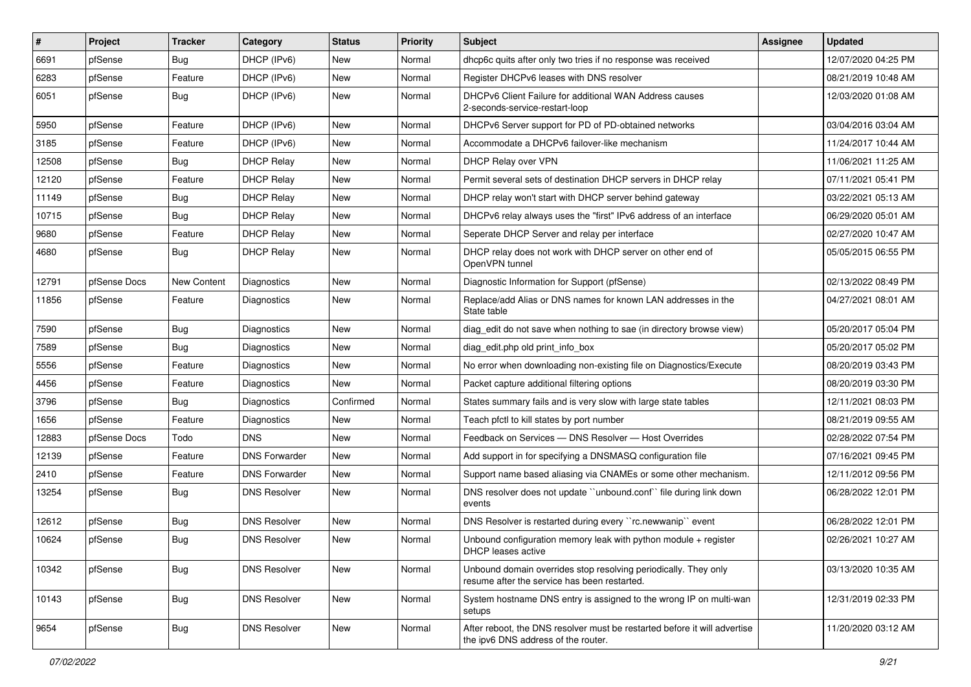| #     | Project      | <b>Tracker</b> | Category             | <b>Status</b> | <b>Priority</b> | Subject                                                                                                          | <b>Assignee</b> | <b>Updated</b>      |
|-------|--------------|----------------|----------------------|---------------|-----------------|------------------------------------------------------------------------------------------------------------------|-----------------|---------------------|
| 6691  | pfSense      | Bug            | DHCP (IPv6)          | New           | Normal          | dhcp6c quits after only two tries if no response was received                                                    |                 | 12/07/2020 04:25 PM |
| 6283  | pfSense      | Feature        | DHCP (IPv6)          | <b>New</b>    | Normal          | Register DHCPv6 leases with DNS resolver                                                                         |                 | 08/21/2019 10:48 AM |
| 6051  | pfSense      | Bug            | DHCP (IPv6)          | New           | Normal          | DHCPv6 Client Failure for additional WAN Address causes<br>2-seconds-service-restart-loop                        |                 | 12/03/2020 01:08 AM |
| 5950  | pfSense      | Feature        | DHCP (IPv6)          | New           | Normal          | DHCPv6 Server support for PD of PD-obtained networks                                                             |                 | 03/04/2016 03:04 AM |
| 3185  | pfSense      | Feature        | DHCP (IPv6)          | New           | Normal          | Accommodate a DHCPv6 failover-like mechanism                                                                     |                 | 11/24/2017 10:44 AM |
| 12508 | pfSense      | Bug            | <b>DHCP Relay</b>    | New           | Normal          | DHCP Relay over VPN                                                                                              |                 | 11/06/2021 11:25 AM |
| 12120 | pfSense      | Feature        | <b>DHCP Relay</b>    | New           | Normal          | Permit several sets of destination DHCP servers in DHCP relay                                                    |                 | 07/11/2021 05:41 PM |
| 11149 | pfSense      | Bug            | <b>DHCP Relay</b>    | New           | Normal          | DHCP relay won't start with DHCP server behind gateway                                                           |                 | 03/22/2021 05:13 AM |
| 10715 | pfSense      | Bug            | <b>DHCP Relay</b>    | New           | Normal          | DHCPv6 relay always uses the "first" IPv6 address of an interface                                                |                 | 06/29/2020 05:01 AM |
| 9680  | pfSense      | Feature        | <b>DHCP Relay</b>    | New           | Normal          | Seperate DHCP Server and relay per interface                                                                     |                 | 02/27/2020 10:47 AM |
| 4680  | pfSense      | Bug            | <b>DHCP Relay</b>    | New           | Normal          | DHCP relay does not work with DHCP server on other end of<br>OpenVPN tunnel                                      |                 | 05/05/2015 06:55 PM |
| 12791 | pfSense Docs | New Content    | Diagnostics          | New           | Normal          | Diagnostic Information for Support (pfSense)                                                                     |                 | 02/13/2022 08:49 PM |
| 11856 | pfSense      | Feature        | Diagnostics          | New           | Normal          | Replace/add Alias or DNS names for known LAN addresses in the<br>State table                                     |                 | 04/27/2021 08:01 AM |
| 7590  | pfSense      | Bug            | Diagnostics          | New           | Normal          | diag_edit do not save when nothing to sae (in directory browse view)                                             |                 | 05/20/2017 05:04 PM |
| 7589  | pfSense      | Bug            | Diagnostics          | New           | Normal          | diag_edit.php old print_info_box                                                                                 |                 | 05/20/2017 05:02 PM |
| 5556  | pfSense      | Feature        | Diagnostics          | New           | Normal          | No error when downloading non-existing file on Diagnostics/Execute                                               |                 | 08/20/2019 03:43 PM |
| 4456  | pfSense      | Feature        | Diagnostics          | New           | Normal          | Packet capture additional filtering options                                                                      |                 | 08/20/2019 03:30 PM |
| 3796  | pfSense      | Bug            | Diagnostics          | Confirmed     | Normal          | States summary fails and is very slow with large state tables                                                    |                 | 12/11/2021 08:03 PM |
| 1656  | pfSense      | Feature        | Diagnostics          | New           | Normal          | Teach pfctl to kill states by port number                                                                        |                 | 08/21/2019 09:55 AM |
| 12883 | pfSense Docs | Todo           | <b>DNS</b>           | <b>New</b>    | Normal          | Feedback on Services - DNS Resolver - Host Overrides                                                             |                 | 02/28/2022 07:54 PM |
| 12139 | pfSense      | Feature        | <b>DNS Forwarder</b> | New           | Normal          | Add support in for specifying a DNSMASQ configuration file                                                       |                 | 07/16/2021 09:45 PM |
| 2410  | pfSense      | Feature        | <b>DNS Forwarder</b> | New           | Normal          | Support name based aliasing via CNAMEs or some other mechanism.                                                  |                 | 12/11/2012 09:56 PM |
| 13254 | pfSense      | <b>Bug</b>     | <b>DNS Resolver</b>  | New           | Normal          | DNS resolver does not update "unbound.conf" file during link down<br>events                                      |                 | 06/28/2022 12:01 PM |
| 12612 | pfSense      | Bug            | <b>DNS Resolver</b>  | New           | Normal          | DNS Resolver is restarted during every "rc.newwanip" event                                                       |                 | 06/28/2022 12:01 PM |
| 10624 | pfSense      | <b>Bug</b>     | <b>DNS Resolver</b>  | <b>New</b>    | Normal          | Unbound configuration memory leak with python module $+$ register<br>DHCP leases active                          |                 | 02/26/2021 10:27 AM |
| 10342 | pfSense      | <b>Bug</b>     | <b>DNS Resolver</b>  | New           | Normal          | Unbound domain overrides stop resolving periodically. They only<br>resume after the service has been restarted.  |                 | 03/13/2020 10:35 AM |
| 10143 | pfSense      | <b>Bug</b>     | <b>DNS Resolver</b>  | New           | Normal          | System hostname DNS entry is assigned to the wrong IP on multi-wan<br>setups                                     |                 | 12/31/2019 02:33 PM |
| 9654  | pfSense      | <b>Bug</b>     | <b>DNS Resolver</b>  | New           | Normal          | After reboot, the DNS resolver must be restarted before it will advertise<br>the ipv6 DNS address of the router. |                 | 11/20/2020 03:12 AM |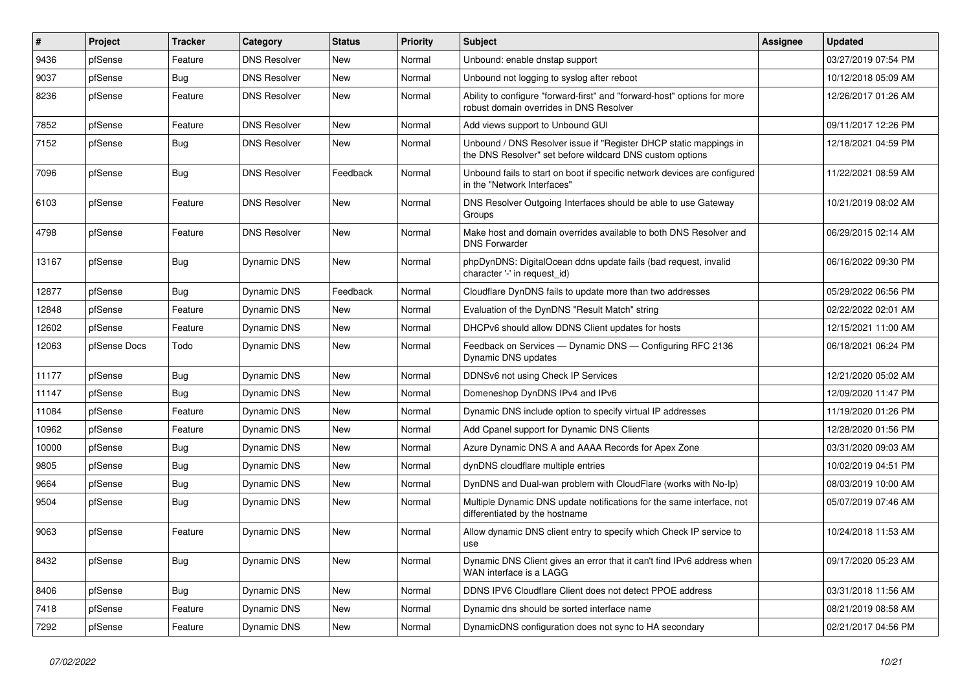| $\vert$ # | Project      | <b>Tracker</b> | Category            | <b>Status</b> | <b>Priority</b> | <b>Subject</b>                                                                                                                | Assignee | <b>Updated</b>      |
|-----------|--------------|----------------|---------------------|---------------|-----------------|-------------------------------------------------------------------------------------------------------------------------------|----------|---------------------|
| 9436      | pfSense      | Feature        | <b>DNS Resolver</b> | <b>New</b>    | Normal          | Unbound: enable dnstap support                                                                                                |          | 03/27/2019 07:54 PM |
| 9037      | pfSense      | Bug            | <b>DNS Resolver</b> | <b>New</b>    | Normal          | Unbound not logging to syslog after reboot                                                                                    |          | 10/12/2018 05:09 AM |
| 8236      | pfSense      | Feature        | <b>DNS Resolver</b> | New           | Normal          | Ability to configure "forward-first" and "forward-host" options for more<br>robust domain overrides in DNS Resolver           |          | 12/26/2017 01:26 AM |
| 7852      | pfSense      | Feature        | <b>DNS Resolver</b> | <b>New</b>    | Normal          | Add views support to Unbound GUI                                                                                              |          | 09/11/2017 12:26 PM |
| 7152      | pfSense      | Bug            | <b>DNS Resolver</b> | <b>New</b>    | Normal          | Unbound / DNS Resolver issue if "Register DHCP static mappings in<br>the DNS Resolver" set before wildcard DNS custom options |          | 12/18/2021 04:59 PM |
| 7096      | pfSense      | Bug            | <b>DNS Resolver</b> | Feedback      | Normal          | Unbound fails to start on boot if specific network devices are configured<br>in the "Network Interfaces"                      |          | 11/22/2021 08:59 AM |
| 6103      | pfSense      | Feature        | <b>DNS Resolver</b> | New           | Normal          | DNS Resolver Outgoing Interfaces should be able to use Gateway<br>Groups                                                      |          | 10/21/2019 08:02 AM |
| 4798      | pfSense      | Feature        | <b>DNS Resolver</b> | <b>New</b>    | Normal          | Make host and domain overrides available to both DNS Resolver and<br><b>DNS Forwarder</b>                                     |          | 06/29/2015 02:14 AM |
| 13167     | pfSense      | Bug            | Dynamic DNS         | <b>New</b>    | Normal          | phpDynDNS: DigitalOcean ddns update fails (bad request, invalid<br>character '-' in request id)                               |          | 06/16/2022 09:30 PM |
| 12877     | pfSense      | Bug            | Dynamic DNS         | Feedback      | Normal          | Cloudflare DynDNS fails to update more than two addresses                                                                     |          | 05/29/2022 06:56 PM |
| 12848     | pfSense      | Feature        | Dynamic DNS         | New           | Normal          | Evaluation of the DynDNS "Result Match" string                                                                                |          | 02/22/2022 02:01 AM |
| 12602     | pfSense      | Feature        | Dynamic DNS         | New           | Normal          | DHCPv6 should allow DDNS Client updates for hosts                                                                             |          | 12/15/2021 11:00 AM |
| 12063     | pfSense Docs | Todo           | <b>Dynamic DNS</b>  | New           | Normal          | Feedback on Services — Dynamic DNS — Configuring RFC 2136<br>Dynamic DNS updates                                              |          | 06/18/2021 06:24 PM |
| 11177     | pfSense      | <b>Bug</b>     | <b>Dynamic DNS</b>  | <b>New</b>    | Normal          | DDNSv6 not using Check IP Services                                                                                            |          | 12/21/2020 05:02 AM |
| 11147     | pfSense      | Bug            | <b>Dynamic DNS</b>  | New           | Normal          | Domeneshop DynDNS IPv4 and IPv6                                                                                               |          | 12/09/2020 11:47 PM |
| 11084     | pfSense      | Feature        | Dynamic DNS         | <b>New</b>    | Normal          | Dynamic DNS include option to specify virtual IP addresses                                                                    |          | 11/19/2020 01:26 PM |
| 10962     | pfSense      | Feature        | Dynamic DNS         | New           | Normal          | Add Cpanel support for Dynamic DNS Clients                                                                                    |          | 12/28/2020 01:56 PM |
| 10000     | pfSense      | <b>Bug</b>     | Dynamic DNS         | New           | Normal          | Azure Dynamic DNS A and AAAA Records for Apex Zone                                                                            |          | 03/31/2020 09:03 AM |
| 9805      | pfSense      | <b>Bug</b>     | Dynamic DNS         | New           | Normal          | dynDNS cloudflare multiple entries                                                                                            |          | 10/02/2019 04:51 PM |
| 9664      | pfSense      | Bug            | Dynamic DNS         | New           | Normal          | DynDNS and Dual-wan problem with CloudFlare (works with No-lp)                                                                |          | 08/03/2019 10:00 AM |
| 9504      | pfSense      | <b>Bug</b>     | Dynamic DNS         | New           | Normal          | Multiple Dynamic DNS update notifications for the same interface, not<br>differentiated by the hostname                       |          | 05/07/2019 07:46 AM |
| 9063      | pfSense      | Feature        | Dynamic DNS         | <b>New</b>    | Normal          | Allow dynamic DNS client entry to specify which Check IP service to<br>use                                                    |          | 10/24/2018 11:53 AM |
| 8432      | pfSense      | Bug            | Dynamic DNS         | <b>New</b>    | Normal          | Dynamic DNS Client gives an error that it can't find IPv6 address when<br>WAN interface is a LAGG                             |          | 09/17/2020 05:23 AM |
| 8406      | pfSense      | Bug            | Dynamic DNS         | New           | Normal          | DDNS IPV6 Cloudflare Client does not detect PPOE address                                                                      |          | 03/31/2018 11:56 AM |
| 7418      | pfSense      | Feature        | <b>Dynamic DNS</b>  | New           | Normal          | Dynamic dns should be sorted interface name                                                                                   |          | 08/21/2019 08:58 AM |
| 7292      | pfSense      | Feature        | <b>Dynamic DNS</b>  | New           | Normal          | DynamicDNS configuration does not sync to HA secondary                                                                        |          | 02/21/2017 04:56 PM |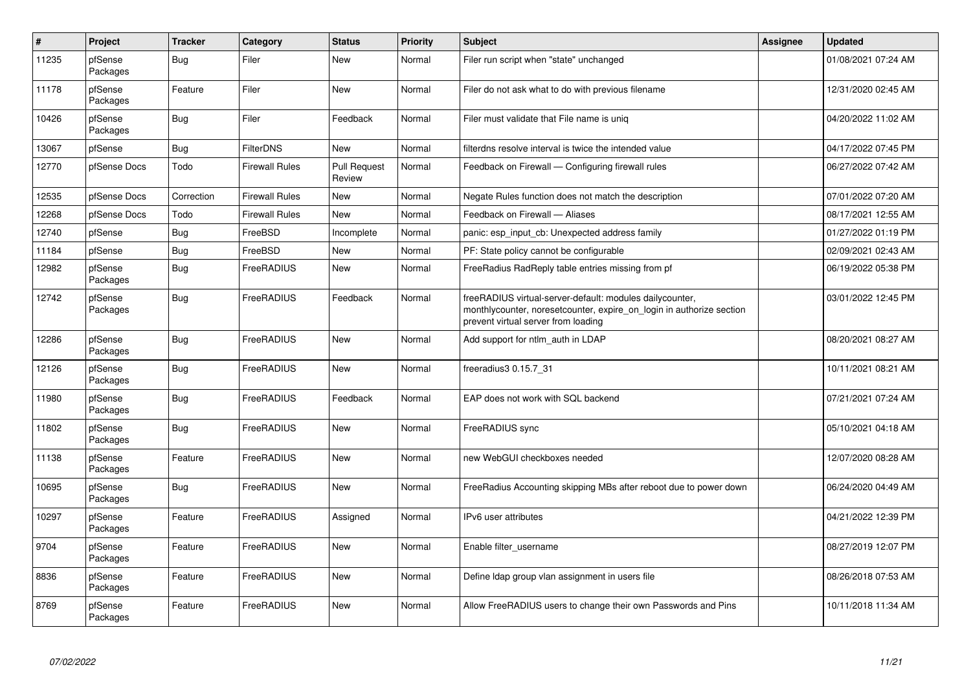| $\vert$ # | Project             | <b>Tracker</b> | Category              | <b>Status</b>                 | <b>Priority</b> | <b>Subject</b>                                                                                                                                                          | Assignee | <b>Updated</b>      |
|-----------|---------------------|----------------|-----------------------|-------------------------------|-----------------|-------------------------------------------------------------------------------------------------------------------------------------------------------------------------|----------|---------------------|
| 11235     | pfSense<br>Packages | Bug            | Filer                 | New                           | Normal          | Filer run script when "state" unchanged                                                                                                                                 |          | 01/08/2021 07:24 AM |
| 11178     | pfSense<br>Packages | Feature        | Filer                 | New                           | Normal          | Filer do not ask what to do with previous filename                                                                                                                      |          | 12/31/2020 02:45 AM |
| 10426     | pfSense<br>Packages | <b>Bug</b>     | Filer                 | Feedback                      | Normal          | Filer must validate that File name is uniq                                                                                                                              |          | 04/20/2022 11:02 AM |
| 13067     | pfSense             | <b>Bug</b>     | <b>FilterDNS</b>      | New                           | Normal          | filterdns resolve interval is twice the intended value                                                                                                                  |          | 04/17/2022 07:45 PM |
| 12770     | pfSense Docs        | Todo           | <b>Firewall Rules</b> | <b>Pull Request</b><br>Review | Normal          | Feedback on Firewall — Configuring firewall rules                                                                                                                       |          | 06/27/2022 07:42 AM |
| 12535     | pfSense Docs        | Correction     | <b>Firewall Rules</b> | New                           | Normal          | Negate Rules function does not match the description                                                                                                                    |          | 07/01/2022 07:20 AM |
| 12268     | pfSense Docs        | Todo           | <b>Firewall Rules</b> | New                           | Normal          | Feedback on Firewall - Aliases                                                                                                                                          |          | 08/17/2021 12:55 AM |
| 12740     | pfSense             | Bug            | FreeBSD               | Incomplete                    | Normal          | panic: esp input cb: Unexpected address family                                                                                                                          |          | 01/27/2022 01:19 PM |
| 11184     | pfSense             | <b>Bug</b>     | FreeBSD               | New                           | Normal          | PF: State policy cannot be configurable                                                                                                                                 |          | 02/09/2021 02:43 AM |
| 12982     | pfSense<br>Packages | <b>Bug</b>     | <b>FreeRADIUS</b>     | <b>New</b>                    | Normal          | FreeRadius RadReply table entries missing from pf                                                                                                                       |          | 06/19/2022 05:38 PM |
| 12742     | pfSense<br>Packages | <b>Bug</b>     | FreeRADIUS            | Feedback                      | Normal          | freeRADIUS virtual-server-default: modules dailycounter,<br>monthlycounter, noresetcounter, expire on login in authorize section<br>prevent virtual server from loading |          | 03/01/2022 12:45 PM |
| 12286     | pfSense<br>Packages | Bug            | FreeRADIUS            | New                           | Normal          | Add support for ntlm auth in LDAP                                                                                                                                       |          | 08/20/2021 08:27 AM |
| 12126     | pfSense<br>Packages | <b>Bug</b>     | FreeRADIUS            | New                           | Normal          | freeradius3 0.15.7 31                                                                                                                                                   |          | 10/11/2021 08:21 AM |
| 11980     | pfSense<br>Packages | <b>Bug</b>     | <b>FreeRADIUS</b>     | Feedback                      | Normal          | EAP does not work with SQL backend                                                                                                                                      |          | 07/21/2021 07:24 AM |
| 11802     | pfSense<br>Packages | Bug            | FreeRADIUS            | <b>New</b>                    | Normal          | FreeRADIUS sync                                                                                                                                                         |          | 05/10/2021 04:18 AM |
| 11138     | pfSense<br>Packages | Feature        | <b>FreeRADIUS</b>     | New                           | Normal          | new WebGUI checkboxes needed                                                                                                                                            |          | 12/07/2020 08:28 AM |
| 10695     | pfSense<br>Packages | <b>Bug</b>     | FreeRADIUS            | New                           | Normal          | FreeRadius Accounting skipping MBs after reboot due to power down                                                                                                       |          | 06/24/2020 04:49 AM |
| 10297     | pfSense<br>Packages | Feature        | <b>FreeRADIUS</b>     | Assigned                      | Normal          | IPv6 user attributes                                                                                                                                                    |          | 04/21/2022 12:39 PM |
| 9704      | pfSense<br>Packages | Feature        | <b>FreeRADIUS</b>     | <b>New</b>                    | Normal          | Enable filter_username                                                                                                                                                  |          | 08/27/2019 12:07 PM |
| 8836      | pfSense<br>Packages | Feature        | FreeRADIUS            | New                           | Normal          | Define Idap group vlan assignment in users file                                                                                                                         |          | 08/26/2018 07:53 AM |
| 8769      | pfSense<br>Packages | Feature        | FreeRADIUS            | New                           | Normal          | Allow FreeRADIUS users to change their own Passwords and Pins                                                                                                           |          | 10/11/2018 11:34 AM |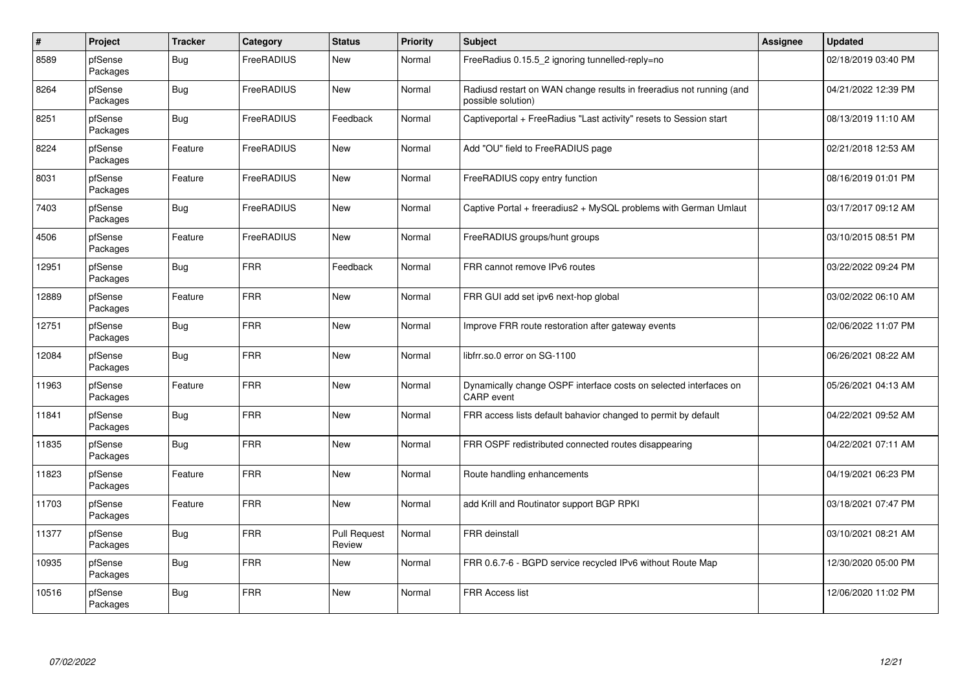| $\sharp$ | Project             | <b>Tracker</b> | Category          | <b>Status</b>                 | Priority | <b>Subject</b>                                                                             | Assignee | <b>Updated</b>      |
|----------|---------------------|----------------|-------------------|-------------------------------|----------|--------------------------------------------------------------------------------------------|----------|---------------------|
| 8589     | pfSense<br>Packages | Bug            | FreeRADIUS        | <b>New</b>                    | Normal   | FreeRadius 0.15.5 2 ignoring tunnelled-reply=no                                            |          | 02/18/2019 03:40 PM |
| 8264     | pfSense<br>Packages | Bug            | FreeRADIUS        | New                           | Normal   | Radiusd restart on WAN change results in freeradius not running (and<br>possible solution) |          | 04/21/2022 12:39 PM |
| 8251     | pfSense<br>Packages | <b>Bug</b>     | FreeRADIUS        | Feedback                      | Normal   | Captiveportal + FreeRadius "Last activity" resets to Session start                         |          | 08/13/2019 11:10 AM |
| 8224     | pfSense<br>Packages | Feature        | FreeRADIUS        | New                           | Normal   | Add "OU" field to FreeRADIUS page                                                          |          | 02/21/2018 12:53 AM |
| 8031     | pfSense<br>Packages | Feature        | <b>FreeRADIUS</b> | <b>New</b>                    | Normal   | FreeRADIUS copy entry function                                                             |          | 08/16/2019 01:01 PM |
| 7403     | pfSense<br>Packages | Bug            | FreeRADIUS        | <b>New</b>                    | Normal   | Captive Portal + freeradius2 + MySQL problems with German Umlaut                           |          | 03/17/2017 09:12 AM |
| 4506     | pfSense<br>Packages | Feature        | FreeRADIUS        | New                           | Normal   | FreeRADIUS groups/hunt groups                                                              |          | 03/10/2015 08:51 PM |
| 12951    | pfSense<br>Packages | <b>Bug</b>     | <b>FRR</b>        | Feedback                      | Normal   | FRR cannot remove IPv6 routes                                                              |          | 03/22/2022 09:24 PM |
| 12889    | pfSense<br>Packages | Feature        | <b>FRR</b>        | New                           | Normal   | FRR GUI add set ipv6 next-hop global                                                       |          | 03/02/2022 06:10 AM |
| 12751    | pfSense<br>Packages | <b>Bug</b>     | <b>FRR</b>        | <b>New</b>                    | Normal   | Improve FRR route restoration after gateway events                                         |          | 02/06/2022 11:07 PM |
| 12084    | pfSense<br>Packages | Bug            | <b>FRR</b>        | <b>New</b>                    | Normal   | libfrr.so.0 error on SG-1100                                                               |          | 06/26/2021 08:22 AM |
| 11963    | pfSense<br>Packages | Feature        | <b>FRR</b>        | New                           | Normal   | Dynamically change OSPF interface costs on selected interfaces on<br><b>CARP</b> event     |          | 05/26/2021 04:13 AM |
| 11841    | pfSense<br>Packages | <b>Bug</b>     | <b>FRR</b>        | New                           | Normal   | FRR access lists default bahavior changed to permit by default                             |          | 04/22/2021 09:52 AM |
| 11835    | pfSense<br>Packages | Bug            | <b>FRR</b>        | New                           | Normal   | FRR OSPF redistributed connected routes disappearing                                       |          | 04/22/2021 07:11 AM |
| 11823    | pfSense<br>Packages | Feature        | <b>FRR</b>        | <b>New</b>                    | Normal   | Route handling enhancements                                                                |          | 04/19/2021 06:23 PM |
| 11703    | pfSense<br>Packages | Feature        | <b>FRR</b>        | New                           | Normal   | add Krill and Routinator support BGP RPKI                                                  |          | 03/18/2021 07:47 PM |
| 11377    | pfSense<br>Packages | Bug            | <b>FRR</b>        | <b>Pull Request</b><br>Review | Normal   | <b>FRR</b> deinstall                                                                       |          | 03/10/2021 08:21 AM |
| 10935    | pfSense<br>Packages | <b>Bug</b>     | <b>FRR</b>        | New                           | Normal   | FRR 0.6.7-6 - BGPD service recycled IPv6 without Route Map                                 |          | 12/30/2020 05:00 PM |
| 10516    | pfSense<br>Packages | Bug            | <b>FRR</b>        | New                           | Normal   | <b>FRR Access list</b>                                                                     |          | 12/06/2020 11:02 PM |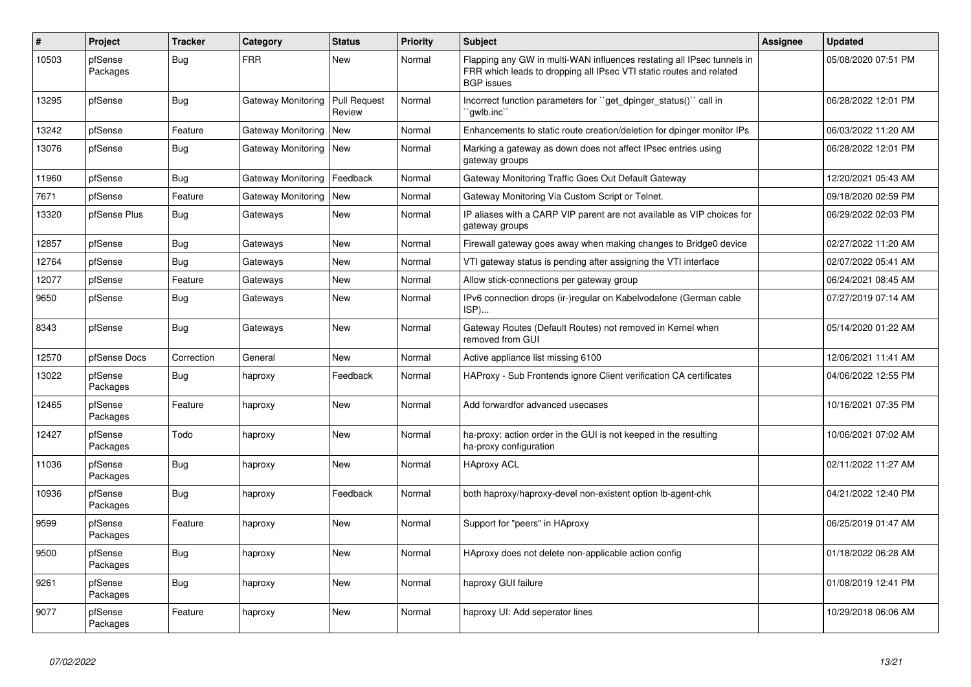| #     | Project             | <b>Tracker</b> | Category           | <b>Status</b>                 | <b>Priority</b> | <b>Subject</b>                                                                                                                                                     | <b>Assignee</b> | <b>Updated</b>      |
|-------|---------------------|----------------|--------------------|-------------------------------|-----------------|--------------------------------------------------------------------------------------------------------------------------------------------------------------------|-----------------|---------------------|
| 10503 | pfSense<br>Packages | Bug            | <b>FRR</b>         | New                           | Normal          | Flapping any GW in multi-WAN influences restating all IPsec tunnels in<br>FRR which leads to dropping all IPsec VTI static routes and related<br><b>BGP</b> issues |                 | 05/08/2020 07:51 PM |
| 13295 | pfSense             | Bug            | Gateway Monitoring | <b>Pull Request</b><br>Review | Normal          | Incorrect function parameters for "get dpinger status()" call in<br>`qwlb.inc`                                                                                     |                 | 06/28/2022 12:01 PM |
| 13242 | pfSense             | Feature        | Gateway Monitoring | New                           | Normal          | Enhancements to static route creation/deletion for dpinger monitor IPs                                                                                             |                 | 06/03/2022 11:20 AM |
| 13076 | pfSense             | Bug            | Gateway Monitoring | <b>New</b>                    | Normal          | Marking a gateway as down does not affect IPsec entries using<br>gateway groups                                                                                    |                 | 06/28/2022 12:01 PM |
| 11960 | pfSense             | Bug            | Gateway Monitoring | Feedback                      | Normal          | Gateway Monitoring Traffic Goes Out Default Gateway                                                                                                                |                 | 12/20/2021 05:43 AM |
| 7671  | pfSense             | Feature        | Gateway Monitoring | New                           | Normal          | Gateway Monitoring Via Custom Script or Telnet.                                                                                                                    |                 | 09/18/2020 02:59 PM |
| 13320 | pfSense Plus        | <b>Bug</b>     | Gateways           | <b>New</b>                    | Normal          | IP aliases with a CARP VIP parent are not available as VIP choices for<br>gateway groups                                                                           |                 | 06/29/2022 02:03 PM |
| 12857 | pfSense             | Bug            | Gateways           | New                           | Normal          | Firewall gateway goes away when making changes to Bridge0 device                                                                                                   |                 | 02/27/2022 11:20 AM |
| 12764 | pfSense             | <b>Bug</b>     | Gateways           | New                           | Normal          | VTI gateway status is pending after assigning the VTI interface                                                                                                    |                 | 02/07/2022 05:41 AM |
| 12077 | pfSense             | Feature        | Gateways           | New                           | Normal          | Allow stick-connections per gateway group                                                                                                                          |                 | 06/24/2021 08:45 AM |
| 9650  | pfSense             | Bug            | Gateways           | New                           | Normal          | IPv6 connection drops (ir-)regular on Kabelvodafone (German cable<br>ISP)                                                                                          |                 | 07/27/2019 07:14 AM |
| 8343  | pfSense             | <b>Bug</b>     | Gateways           | New                           | Normal          | Gateway Routes (Default Routes) not removed in Kernel when<br>removed from GUI                                                                                     |                 | 05/14/2020 01:22 AM |
| 12570 | pfSense Docs        | Correction     | General            | <b>New</b>                    | Normal          | Active appliance list missing 6100                                                                                                                                 |                 | 12/06/2021 11:41 AM |
| 13022 | pfSense<br>Packages | <b>Bug</b>     | haproxy            | Feedback                      | Normal          | HAProxy - Sub Frontends ignore Client verification CA certificates                                                                                                 |                 | 04/06/2022 12:55 PM |
| 12465 | pfSense<br>Packages | Feature        | haproxy            | New                           | Normal          | Add forwardfor advanced usecases                                                                                                                                   |                 | 10/16/2021 07:35 PM |
| 12427 | pfSense<br>Packages | Todo           | haproxy            | New                           | Normal          | ha-proxy: action order in the GUI is not keeped in the resulting<br>ha-proxy configuration                                                                         |                 | 10/06/2021 07:02 AM |
| 11036 | pfSense<br>Packages | <b>Bug</b>     | haproxy            | <b>New</b>                    | Normal          | <b>HAproxy ACL</b>                                                                                                                                                 |                 | 02/11/2022 11:27 AM |
| 10936 | pfSense<br>Packages | Bug            | haproxy            | Feedback                      | Normal          | both haproxy/haproxy-devel non-existent option lb-agent-chk                                                                                                        |                 | 04/21/2022 12:40 PM |
| 9599  | pfSense<br>Packages | Feature        | haproxy            | New                           | Normal          | Support for "peers" in HAproxy                                                                                                                                     |                 | 06/25/2019 01:47 AM |
| 9500  | pfSense<br>Packages | <b>Bug</b>     | haproxy            | New                           | Normal          | HAproxy does not delete non-applicable action config                                                                                                               |                 | 01/18/2022 06:28 AM |
| 9261  | pfSense<br>Packages | <b>Bug</b>     | haproxy            | New                           | Normal          | haproxy GUI failure                                                                                                                                                |                 | 01/08/2019 12:41 PM |
| 9077  | pfSense<br>Packages | Feature        | haproxy            | <b>New</b>                    | Normal          | haproxy UI: Add seperator lines                                                                                                                                    |                 | 10/29/2018 06:06 AM |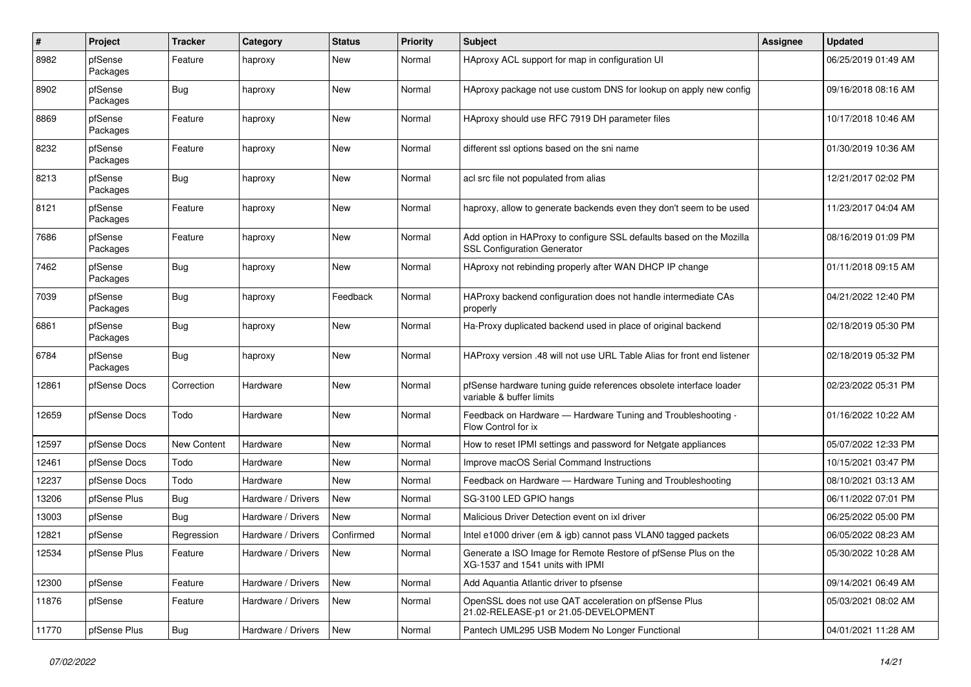| $\pmb{\#}$ | Project             | <b>Tracker</b> | Category           | <b>Status</b> | <b>Priority</b> | <b>Subject</b>                                                                                             | <b>Assignee</b> | <b>Updated</b>      |
|------------|---------------------|----------------|--------------------|---------------|-----------------|------------------------------------------------------------------------------------------------------------|-----------------|---------------------|
| 8982       | pfSense<br>Packages | Feature        | haproxy            | New           | Normal          | HAproxy ACL support for map in configuration UI                                                            |                 | 06/25/2019 01:49 AM |
| 8902       | pfSense<br>Packages | Bug            | haproxy            | New           | Normal          | HAproxy package not use custom DNS for lookup on apply new config                                          |                 | 09/16/2018 08:16 AM |
| 8869       | pfSense<br>Packages | Feature        | haproxy            | <b>New</b>    | Normal          | HAproxy should use RFC 7919 DH parameter files                                                             |                 | 10/17/2018 10:46 AM |
| 8232       | pfSense<br>Packages | Feature        | haproxy            | <b>New</b>    | Normal          | different ssl options based on the sni name                                                                |                 | 01/30/2019 10:36 AM |
| 8213       | pfSense<br>Packages | Bug            | haproxy            | <b>New</b>    | Normal          | acl src file not populated from alias                                                                      |                 | 12/21/2017 02:02 PM |
| 8121       | pfSense<br>Packages | Feature        | haproxy            | New           | Normal          | haproxy, allow to generate backends even they don't seem to be used                                        |                 | 11/23/2017 04:04 AM |
| 7686       | pfSense<br>Packages | Feature        | haproxy            | <b>New</b>    | Normal          | Add option in HAProxy to configure SSL defaults based on the Mozilla<br><b>SSL Configuration Generator</b> |                 | 08/16/2019 01:09 PM |
| 7462       | pfSense<br>Packages | Bug            | haproxy            | New           | Normal          | HAproxy not rebinding properly after WAN DHCP IP change                                                    |                 | 01/11/2018 09:15 AM |
| 7039       | pfSense<br>Packages | Bug            | haproxy            | Feedback      | Normal          | HAProxy backend configuration does not handle intermediate CAs<br>properly                                 |                 | 04/21/2022 12:40 PM |
| 6861       | pfSense<br>Packages | Bug            | haproxy            | New           | Normal          | Ha-Proxy duplicated backend used in place of original backend                                              |                 | 02/18/2019 05:30 PM |
| 6784       | pfSense<br>Packages | <b>Bug</b>     | haproxy            | <b>New</b>    | Normal          | HAProxy version .48 will not use URL Table Alias for front end listener                                    |                 | 02/18/2019 05:32 PM |
| 12861      | pfSense Docs        | Correction     | Hardware           | <b>New</b>    | Normal          | pfSense hardware tuning guide references obsolete interface loader<br>variable & buffer limits             |                 | 02/23/2022 05:31 PM |
| 12659      | pfSense Docs        | Todo           | Hardware           | <b>New</b>    | Normal          | Feedback on Hardware - Hardware Tuning and Troubleshooting -<br>Flow Control for ix                        |                 | 01/16/2022 10:22 AM |
| 12597      | pfSense Docs        | New Content    | Hardware           | <b>New</b>    | Normal          | How to reset IPMI settings and password for Netgate appliances                                             |                 | 05/07/2022 12:33 PM |
| 12461      | pfSense Docs        | Todo           | Hardware           | New           | Normal          | Improve macOS Serial Command Instructions                                                                  |                 | 10/15/2021 03:47 PM |
| 12237      | pfSense Docs        | Todo           | Hardware           | New           | Normal          | Feedback on Hardware - Hardware Tuning and Troubleshooting                                                 |                 | 08/10/2021 03:13 AM |
| 13206      | pfSense Plus        | Bug            | Hardware / Drivers | New           | Normal          | SG-3100 LED GPIO hangs                                                                                     |                 | 06/11/2022 07:01 PM |
| 13003      | pfSense             | <b>Bug</b>     | Hardware / Drivers | New           | Normal          | Malicious Driver Detection event on ixl driver                                                             |                 | 06/25/2022 05:00 PM |
| 12821      | pfSense             | Regression     | Hardware / Drivers | Confirmed     | Normal          | Intel e1000 driver (em & igb) cannot pass VLAN0 tagged packets                                             |                 | 06/05/2022 08:23 AM |
| 12534      | pfSense Plus        | Feature        | Hardware / Drivers | New           | Normal          | Generate a ISO Image for Remote Restore of pfSense Plus on the<br>XG-1537 and 1541 units with IPMI         |                 | 05/30/2022 10:28 AM |
| 12300      | pfSense             | Feature        | Hardware / Drivers | New           | Normal          | Add Aquantia Atlantic driver to pfsense                                                                    |                 | 09/14/2021 06:49 AM |
| 11876      | pfSense             | Feature        | Hardware / Drivers | New           | Normal          | OpenSSL does not use QAT acceleration on pfSense Plus<br>21.02-RELEASE-p1 or 21.05-DEVELOPMENT             |                 | 05/03/2021 08:02 AM |
| 11770      | pfSense Plus        | <b>Bug</b>     | Hardware / Drivers | New           | Normal          | Pantech UML295 USB Modem No Longer Functional                                                              |                 | 04/01/2021 11:28 AM |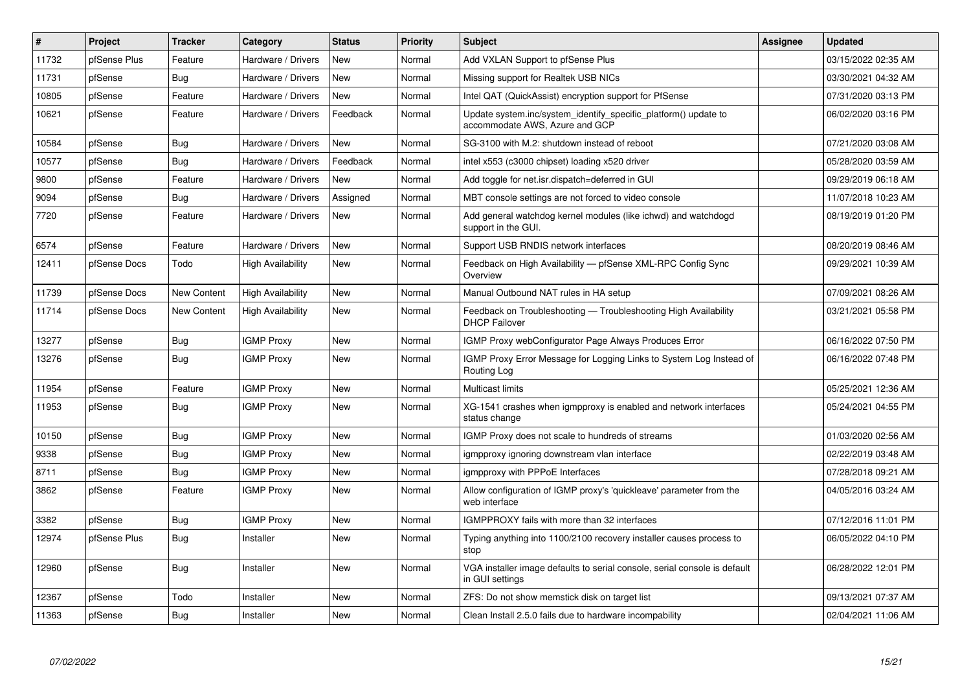| #     | Project      | <b>Tracker</b>     | Category                 | <b>Status</b> | <b>Priority</b> | <b>Subject</b>                                                                                    | Assignee | <b>Updated</b>      |
|-------|--------------|--------------------|--------------------------|---------------|-----------------|---------------------------------------------------------------------------------------------------|----------|---------------------|
| 11732 | pfSense Plus | Feature            | Hardware / Drivers       | <b>New</b>    | Normal          | Add VXLAN Support to pfSense Plus                                                                 |          | 03/15/2022 02:35 AM |
| 11731 | pfSense      | Bug                | Hardware / Drivers       | <b>New</b>    | Normal          | Missing support for Realtek USB NICs                                                              |          | 03/30/2021 04:32 AM |
| 10805 | pfSense      | Feature            | Hardware / Drivers       | New           | Normal          | Intel QAT (QuickAssist) encryption support for PfSense                                            |          | 07/31/2020 03:13 PM |
| 10621 | pfSense      | Feature            | Hardware / Drivers       | Feedback      | Normal          | Update system.inc/system_identify_specific_platform() update to<br>accommodate AWS, Azure and GCP |          | 06/02/2020 03:16 PM |
| 10584 | pfSense      | Bug                | Hardware / Drivers       | <b>New</b>    | Normal          | SG-3100 with M.2: shutdown instead of reboot                                                      |          | 07/21/2020 03:08 AM |
| 10577 | pfSense      | Bug                | Hardware / Drivers       | Feedback      | Normal          | intel x553 (c3000 chipset) loading x520 driver                                                    |          | 05/28/2020 03:59 AM |
| 9800  | pfSense      | Feature            | Hardware / Drivers       | New           | Normal          | Add toggle for net.isr.dispatch=deferred in GUI                                                   |          | 09/29/2019 06:18 AM |
| 9094  | pfSense      | Bug                | Hardware / Drivers       | Assigned      | Normal          | MBT console settings are not forced to video console                                              |          | 11/07/2018 10:23 AM |
| 7720  | pfSense      | Feature            | Hardware / Drivers       | <b>New</b>    | Normal          | Add general watchdog kernel modules (like ichwd) and watchdogd<br>support in the GUI.             |          | 08/19/2019 01:20 PM |
| 6574  | pfSense      | Feature            | Hardware / Drivers       | New           | Normal          | Support USB RNDIS network interfaces                                                              |          | 08/20/2019 08:46 AM |
| 12411 | pfSense Docs | Todo               | <b>High Availability</b> | New           | Normal          | Feedback on High Availability - pfSense XML-RPC Config Sync<br>Overview                           |          | 09/29/2021 10:39 AM |
| 11739 | pfSense Docs | <b>New Content</b> | <b>High Availability</b> | New           | Normal          | Manual Outbound NAT rules in HA setup                                                             |          | 07/09/2021 08:26 AM |
| 11714 | pfSense Docs | New Content        | <b>High Availability</b> | New           | Normal          | Feedback on Troubleshooting — Troubleshooting High Availability<br><b>DHCP Failover</b>           |          | 03/21/2021 05:58 PM |
| 13277 | pfSense      | Bug                | <b>IGMP Proxy</b>        | New           | Normal          | IGMP Proxy webConfigurator Page Always Produces Error                                             |          | 06/16/2022 07:50 PM |
| 13276 | pfSense      | Bug                | <b>IGMP Proxy</b>        | <b>New</b>    | Normal          | IGMP Proxy Error Message for Logging Links to System Log Instead of<br>Routing Log                |          | 06/16/2022 07:48 PM |
| 11954 | pfSense      | Feature            | <b>IGMP Proxy</b>        | New           | Normal          | Multicast limits                                                                                  |          | 05/25/2021 12:36 AM |
| 11953 | pfSense      | Bug                | <b>IGMP Proxy</b>        | New           | Normal          | XG-1541 crashes when igmpproxy is enabled and network interfaces<br>status change                 |          | 05/24/2021 04:55 PM |
| 10150 | pfSense      | Bug                | <b>IGMP Proxy</b>        | New           | Normal          | IGMP Proxy does not scale to hundreds of streams                                                  |          | 01/03/2020 02:56 AM |
| 9338  | pfSense      | Bug                | <b>IGMP Proxy</b>        | New           | Normal          | igmpproxy ignoring downstream vlan interface                                                      |          | 02/22/2019 03:48 AM |
| 8711  | pfSense      | Bug                | <b>IGMP Proxy</b>        | <b>New</b>    | Normal          | igmpproxy with PPPoE Interfaces                                                                   |          | 07/28/2018 09:21 AM |
| 3862  | pfSense      | Feature            | <b>IGMP Proxy</b>        | <b>New</b>    | Normal          | Allow configuration of IGMP proxy's 'quickleave' parameter from the<br>web interface              |          | 04/05/2016 03:24 AM |
| 3382  | pfSense      | <b>Bug</b>         | <b>IGMP Proxy</b>        | New           | Normal          | IGMPPROXY fails with more than 32 interfaces                                                      |          | 07/12/2016 11:01 PM |
| 12974 | pfSense Plus | Bug                | Installer                | <b>New</b>    | Normal          | Typing anything into 1100/2100 recovery installer causes process to<br>stop                       |          | 06/05/2022 04:10 PM |
| 12960 | pfSense      | Bug                | Installer                | <b>New</b>    | Normal          | VGA installer image defaults to serial console, serial console is default<br>in GUI settings      |          | 06/28/2022 12:01 PM |
| 12367 | pfSense      | Todo               | Installer                | New           | Normal          | ZFS: Do not show memstick disk on target list                                                     |          | 09/13/2021 07:37 AM |
| 11363 | pfSense      | Bug                | Installer                | <b>New</b>    | Normal          | Clean Install 2.5.0 fails due to hardware incompability                                           |          | 02/04/2021 11:06 AM |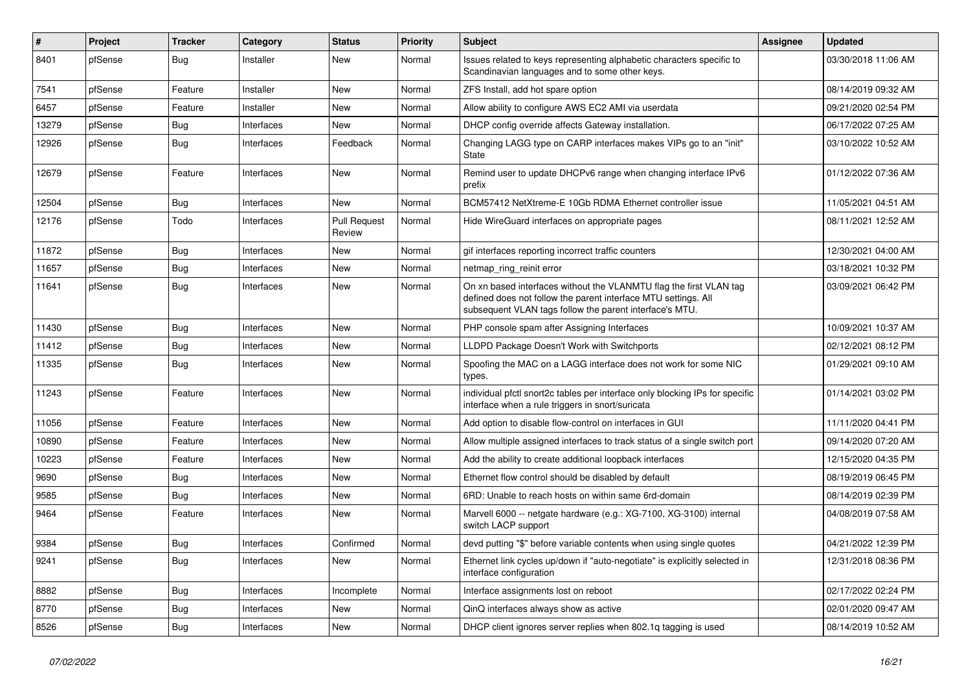| #     | Project | <b>Tracker</b> | Category   | <b>Status</b>                 | <b>Priority</b> | <b>Subject</b>                                                                                                                                                                                  | Assignee | <b>Updated</b>      |
|-------|---------|----------------|------------|-------------------------------|-----------------|-------------------------------------------------------------------------------------------------------------------------------------------------------------------------------------------------|----------|---------------------|
| 8401  | pfSense | Bug            | Installer  | New                           | Normal          | Issues related to keys representing alphabetic characters specific to<br>Scandinavian languages and to some other keys.                                                                         |          | 03/30/2018 11:06 AM |
| 7541  | pfSense | Feature        | Installer  | New                           | Normal          | ZFS Install, add hot spare option                                                                                                                                                               |          | 08/14/2019 09:32 AM |
| 6457  | pfSense | Feature        | Installer  | New                           | Normal          | Allow ability to configure AWS EC2 AMI via userdata                                                                                                                                             |          | 09/21/2020 02:54 PM |
| 13279 | pfSense | Bug            | Interfaces | New                           | Normal          | DHCP config override affects Gateway installation.                                                                                                                                              |          | 06/17/2022 07:25 AM |
| 12926 | pfSense | Bug            | Interfaces | Feedback                      | Normal          | Changing LAGG type on CARP interfaces makes VIPs go to an "init"<br><b>State</b>                                                                                                                |          | 03/10/2022 10:52 AM |
| 12679 | pfSense | Feature        | Interfaces | <b>New</b>                    | Normal          | Remind user to update DHCPv6 range when changing interface IPv6<br>prefix                                                                                                                       |          | 01/12/2022 07:36 AM |
| 12504 | pfSense | Bug            | Interfaces | New                           | Normal          | BCM57412 NetXtreme-E 10Gb RDMA Ethernet controller issue                                                                                                                                        |          | 11/05/2021 04:51 AM |
| 12176 | pfSense | Todo           | Interfaces | <b>Pull Request</b><br>Review | Normal          | Hide WireGuard interfaces on appropriate pages                                                                                                                                                  |          | 08/11/2021 12:52 AM |
| 11872 | pfSense | <b>Bug</b>     | Interfaces | New                           | Normal          | gif interfaces reporting incorrect traffic counters                                                                                                                                             |          | 12/30/2021 04:00 AM |
| 11657 | pfSense | Bug            | Interfaces | New                           | Normal          | netmap_ring_reinit error                                                                                                                                                                        |          | 03/18/2021 10:32 PM |
| 11641 | pfSense | <b>Bug</b>     | Interfaces | New                           | Normal          | On xn based interfaces without the VLANMTU flag the first VLAN tag<br>defined does not follow the parent interface MTU settings. All<br>subsequent VLAN tags follow the parent interface's MTU. |          | 03/09/2021 06:42 PM |
| 11430 | pfSense | <b>Bug</b>     | Interfaces | New                           | Normal          | PHP console spam after Assigning Interfaces                                                                                                                                                     |          | 10/09/2021 10:37 AM |
| 11412 | pfSense | <b>Bug</b>     | Interfaces | New                           | Normal          | LLDPD Package Doesn't Work with Switchports                                                                                                                                                     |          | 02/12/2021 08:12 PM |
| 11335 | pfSense | <b>Bug</b>     | Interfaces | New                           | Normal          | Spoofing the MAC on a LAGG interface does not work for some NIC<br>types.                                                                                                                       |          | 01/29/2021 09:10 AM |
| 11243 | pfSense | Feature        | Interfaces | New                           | Normal          | individual pfctl snort2c tables per interface only blocking IPs for specific<br>interface when a rule triggers in snort/suricata                                                                |          | 01/14/2021 03:02 PM |
| 11056 | pfSense | Feature        | Interfaces | New                           | Normal          | Add option to disable flow-control on interfaces in GUI                                                                                                                                         |          | 11/11/2020 04:41 PM |
| 10890 | pfSense | Feature        | Interfaces | New                           | Normal          | Allow multiple assigned interfaces to track status of a single switch port                                                                                                                      |          | 09/14/2020 07:20 AM |
| 10223 | pfSense | Feature        | Interfaces | New                           | Normal          | Add the ability to create additional loopback interfaces                                                                                                                                        |          | 12/15/2020 04:35 PM |
| 9690  | pfSense | <b>Bug</b>     | Interfaces | New                           | Normal          | Ethernet flow control should be disabled by default                                                                                                                                             |          | 08/19/2019 06:45 PM |
| 9585  | pfSense | Bug            | Interfaces | New                           | Normal          | 6RD: Unable to reach hosts on within same 6rd-domain                                                                                                                                            |          | 08/14/2019 02:39 PM |
| 9464  | pfSense | Feature        | Interfaces | New                           | Normal          | Marvell 6000 -- netgate hardware (e.g.: XG-7100, XG-3100) internal<br>switch LACP support                                                                                                       |          | 04/08/2019 07:58 AM |
| 9384  | pfSense | Bug            | Interfaces | Confirmed                     | Normal          | devd putting "\$" before variable contents when using single quotes                                                                                                                             |          | 04/21/2022 12:39 PM |
| 9241  | pfSense | Bug            | Interfaces | New                           | Normal          | Ethernet link cycles up/down if "auto-negotiate" is explicitly selected in<br>interface configuration                                                                                           |          | 12/31/2018 08:36 PM |
| 8882  | pfSense | Bug            | Interfaces | Incomplete                    | Normal          | Interface assignments lost on reboot                                                                                                                                                            |          | 02/17/2022 02:24 PM |
| 8770  | pfSense | Bug            | Interfaces | New                           | Normal          | QinQ interfaces always show as active                                                                                                                                                           |          | 02/01/2020 09:47 AM |
| 8526  | pfSense | Bug            | Interfaces | New                           | Normal          | DHCP client ignores server replies when 802.1q tagging is used                                                                                                                                  |          | 08/14/2019 10:52 AM |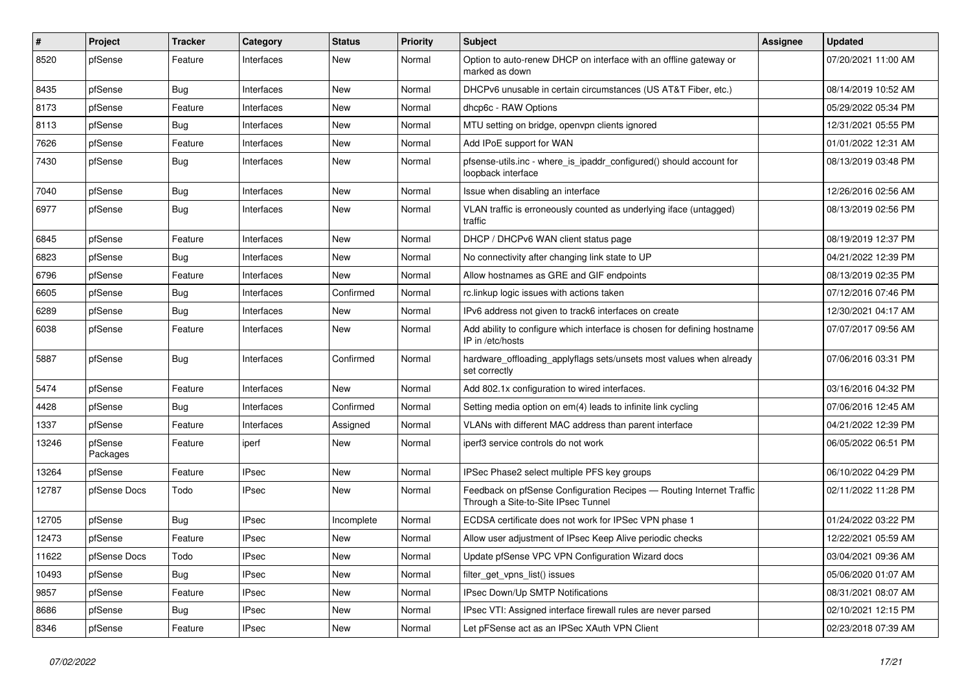| #     | Project             | Tracker    | Category     | <b>Status</b> | <b>Priority</b> | Subject                                                                                                     | Assignee | <b>Updated</b>      |
|-------|---------------------|------------|--------------|---------------|-----------------|-------------------------------------------------------------------------------------------------------------|----------|---------------------|
| 8520  | pfSense             | Feature    | Interfaces   | New           | Normal          | Option to auto-renew DHCP on interface with an offline gateway or<br>marked as down                         |          | 07/20/2021 11:00 AM |
| 8435  | pfSense             | Bug        | Interfaces   | New           | Normal          | DHCPv6 unusable in certain circumstances (US AT&T Fiber, etc.)                                              |          | 08/14/2019 10:52 AM |
| 8173  | pfSense             | Feature    | Interfaces   | New           | Normal          | dhcp6c - RAW Options                                                                                        |          | 05/29/2022 05:34 PM |
| 8113  | pfSense             | Bug        | Interfaces   | New           | Normal          | MTU setting on bridge, openvpn clients ignored                                                              |          | 12/31/2021 05:55 PM |
| 7626  | pfSense             | Feature    | Interfaces   | New           | Normal          | Add IPoE support for WAN                                                                                    |          | 01/01/2022 12:31 AM |
| 7430  | pfSense             | <b>Bug</b> | Interfaces   | New           | Normal          | pfsense-utils.inc - where_is_ipaddr_configured() should account for<br>loopback interface                   |          | 08/13/2019 03:48 PM |
| 7040  | pfSense             | Bug        | Interfaces   | New           | Normal          | Issue when disabling an interface                                                                           |          | 12/26/2016 02:56 AM |
| 6977  | pfSense             | <b>Bug</b> | Interfaces   | New           | Normal          | VLAN traffic is erroneously counted as underlying iface (untagged)<br>traffic                               |          | 08/13/2019 02:56 PM |
| 6845  | pfSense             | Feature    | Interfaces   | New           | Normal          | DHCP / DHCPv6 WAN client status page                                                                        |          | 08/19/2019 12:37 PM |
| 6823  | pfSense             | Bug        | Interfaces   | New           | Normal          | No connectivity after changing link state to UP                                                             |          | 04/21/2022 12:39 PM |
| 6796  | pfSense             | Feature    | Interfaces   | New           | Normal          | Allow hostnames as GRE and GIF endpoints                                                                    |          | 08/13/2019 02:35 PM |
| 6605  | pfSense             | Bug        | Interfaces   | Confirmed     | Normal          | rc.linkup logic issues with actions taken                                                                   |          | 07/12/2016 07:46 PM |
| 6289  | pfSense             | Bug        | Interfaces   | New           | Normal          | IPv6 address not given to track6 interfaces on create                                                       |          | 12/30/2021 04:17 AM |
| 6038  | pfSense             | Feature    | Interfaces   | New           | Normal          | Add ability to configure which interface is chosen for defining hostname<br>IP in /etc/hosts                |          | 07/07/2017 09:56 AM |
| 5887  | pfSense             | Bug        | Interfaces   | Confirmed     | Normal          | hardware_offloading_applyflags sets/unsets most values when already<br>set correctly                        |          | 07/06/2016 03:31 PM |
| 5474  | pfSense             | Feature    | Interfaces   | <b>New</b>    | Normal          | Add 802.1x configuration to wired interfaces.                                                               |          | 03/16/2016 04:32 PM |
| 4428  | pfSense             | Bug        | Interfaces   | Confirmed     | Normal          | Setting media option on em(4) leads to infinite link cycling                                                |          | 07/06/2016 12:45 AM |
| 1337  | pfSense             | Feature    | Interfaces   | Assigned      | Normal          | VLANs with different MAC address than parent interface                                                      |          | 04/21/2022 12:39 PM |
| 13246 | pfSense<br>Packages | Feature    | iperf        | New           | Normal          | iperf3 service controls do not work                                                                         |          | 06/05/2022 06:51 PM |
| 13264 | pfSense             | Feature    | <b>IPsec</b> | New           | Normal          | IPSec Phase2 select multiple PFS key groups                                                                 |          | 06/10/2022 04:29 PM |
| 12787 | pfSense Docs        | Todo       | IPsec        | New           | Normal          | Feedback on pfSense Configuration Recipes - Routing Internet Traffic<br>Through a Site-to-Site IPsec Tunnel |          | 02/11/2022 11:28 PM |
| 12705 | pfSense             | <b>Bug</b> | <b>IPsec</b> | Incomplete    | Normal          | ECDSA certificate does not work for IPSec VPN phase 1                                                       |          | 01/24/2022 03:22 PM |
| 12473 | pfSense             | Feature    | <b>IPsec</b> | New           | Normal          | Allow user adjustment of IPsec Keep Alive periodic checks                                                   |          | 12/22/2021 05:59 AM |
| 11622 | pfSense Docs        | Todo       | <b>IPsec</b> | New           | Normal          | Update pfSense VPC VPN Configuration Wizard docs                                                            |          | 03/04/2021 09:36 AM |
| 10493 | pfSense             | <b>Bug</b> | <b>IPsec</b> | New           | Normal          | filter get vpns list() issues                                                                               |          | 05/06/2020 01:07 AM |
| 9857  | pfSense             | Feature    | <b>IPsec</b> | New           | Normal          | IPsec Down/Up SMTP Notifications                                                                            |          | 08/31/2021 08:07 AM |
| 8686  | pfSense             | <b>Bug</b> | <b>IPsec</b> | New           | Normal          | IPsec VTI: Assigned interface firewall rules are never parsed                                               |          | 02/10/2021 12:15 PM |
| 8346  | pfSense             | Feature    | <b>IPsec</b> | New           | Normal          | Let pFSense act as an IPSec XAuth VPN Client                                                                |          | 02/23/2018 07:39 AM |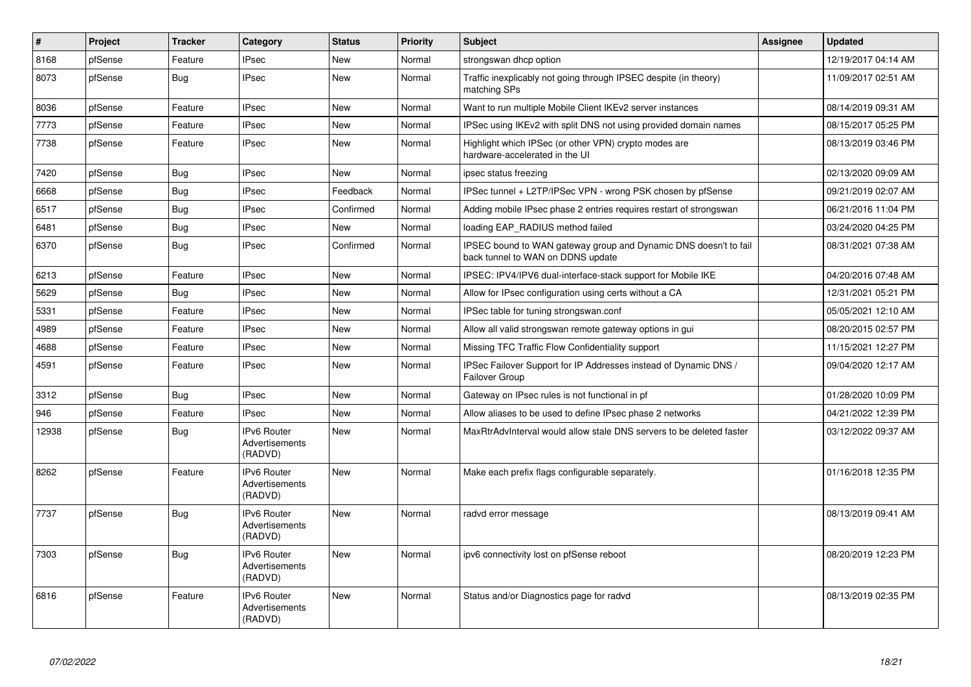| #     | Project | <b>Tracker</b> | Category                                        | <b>Status</b> | <b>Priority</b> | <b>Subject</b>                                                                                        | Assignee | <b>Updated</b>      |
|-------|---------|----------------|-------------------------------------------------|---------------|-----------------|-------------------------------------------------------------------------------------------------------|----------|---------------------|
| 8168  | pfSense | Feature        | <b>IPsec</b>                                    | New           | Normal          | strongswan dhcp option                                                                                |          | 12/19/2017 04:14 AM |
| 8073  | pfSense | Bug            | <b>IPsec</b>                                    | New           | Normal          | Traffic inexplicably not going through IPSEC despite (in theory)<br>matching SPs                      |          | 11/09/2017 02:51 AM |
| 8036  | pfSense | Feature        | <b>IPsec</b>                                    | New           | Normal          | Want to run multiple Mobile Client IKEv2 server instances                                             |          | 08/14/2019 09:31 AM |
| 7773  | pfSense | Feature        | <b>IPsec</b>                                    | <b>New</b>    | Normal          | IPSec using IKEv2 with split DNS not using provided domain names                                      |          | 08/15/2017 05:25 PM |
| 7738  | pfSense | Feature        | <b>IPsec</b>                                    | New           | Normal          | Highlight which IPSec (or other VPN) crypto modes are<br>hardware-accelerated in the UI               |          | 08/13/2019 03:46 PM |
| 7420  | pfSense | Bug            | <b>IPsec</b>                                    | New           | Normal          | ipsec status freezing                                                                                 |          | 02/13/2020 09:09 AM |
| 6668  | pfSense | Bug            | <b>IPsec</b>                                    | Feedback      | Normal          | IPSec tunnel + L2TP/IPSec VPN - wrong PSK chosen by pfSense                                           |          | 09/21/2019 02:07 AM |
| 6517  | pfSense | <b>Bug</b>     | <b>IPsec</b>                                    | Confirmed     | Normal          | Adding mobile IPsec phase 2 entries requires restart of strongswan                                    |          | 06/21/2016 11:04 PM |
| 6481  | pfSense | <b>Bug</b>     | <b>IPsec</b>                                    | New           | Normal          | loading EAP RADIUS method failed                                                                      |          | 03/24/2020 04:25 PM |
| 6370  | pfSense | <b>Bug</b>     | <b>IPsec</b>                                    | Confirmed     | Normal          | IPSEC bound to WAN gateway group and Dynamic DNS doesn't to fail<br>back tunnel to WAN on DDNS update |          | 08/31/2021 07:38 AM |
| 6213  | pfSense | Feature        | <b>IPsec</b>                                    | New           | Normal          | IPSEC: IPV4/IPV6 dual-interface-stack support for Mobile IKE                                          |          | 04/20/2016 07:48 AM |
| 5629  | pfSense | Bug            | <b>IPsec</b>                                    | New           | Normal          | Allow for IPsec configuration using certs without a CA                                                |          | 12/31/2021 05:21 PM |
| 5331  | pfSense | Feature        | <b>IPsec</b>                                    | New           | Normal          | IPSec table for tuning strongswan.conf                                                                |          | 05/05/2021 12:10 AM |
| 4989  | pfSense | Feature        | <b>IPsec</b>                                    | New           | Normal          | Allow all valid strongswan remote gateway options in gui                                              |          | 08/20/2015 02:57 PM |
| 4688  | pfSense | Feature        | <b>IPsec</b>                                    | New           | Normal          | Missing TFC Traffic Flow Confidentiality support                                                      |          | 11/15/2021 12:27 PM |
| 4591  | pfSense | Feature        | <b>IPsec</b>                                    | New           | Normal          | IPSec Failover Support for IP Addresses instead of Dynamic DNS /<br>Failover Group                    |          | 09/04/2020 12:17 AM |
| 3312  | pfSense | Bug            | <b>IPsec</b>                                    | New           | Normal          | Gateway on IPsec rules is not functional in pf                                                        |          | 01/28/2020 10:09 PM |
| 946   | pfSense | Feature        | <b>IPsec</b>                                    | New           | Normal          | Allow aliases to be used to define IPsec phase 2 networks                                             |          | 04/21/2022 12:39 PM |
| 12938 | pfSense | Bug            | <b>IPv6 Router</b><br>Advertisements<br>(RADVD) | New           | Normal          | MaxRtrAdvInterval would allow stale DNS servers to be deleted faster                                  |          | 03/12/2022 09:37 AM |
| 8262  | pfSense | Feature        | <b>IPv6 Router</b><br>Advertisements<br>(RADVD) | <b>New</b>    | Normal          | Make each prefix flags configurable separately.                                                       |          | 01/16/2018 12:35 PM |
| 7737  | pfSense | Bug            | IPv6 Router<br>Advertisements<br>(RADVD)        | New           | Normal          | radvd error message                                                                                   |          | 08/13/2019 09:41 AM |
| 7303  | pfSense | <b>Bug</b>     | <b>IPv6 Router</b><br>Advertisements<br>(RADVD) | <b>New</b>    | Normal          | ipv6 connectivity lost on pfSense reboot                                                              |          | 08/20/2019 12:23 PM |
| 6816  | pfSense | Feature        | <b>IPv6 Router</b><br>Advertisements<br>(RADVD) | New           | Normal          | Status and/or Diagnostics page for radvd                                                              |          | 08/13/2019 02:35 PM |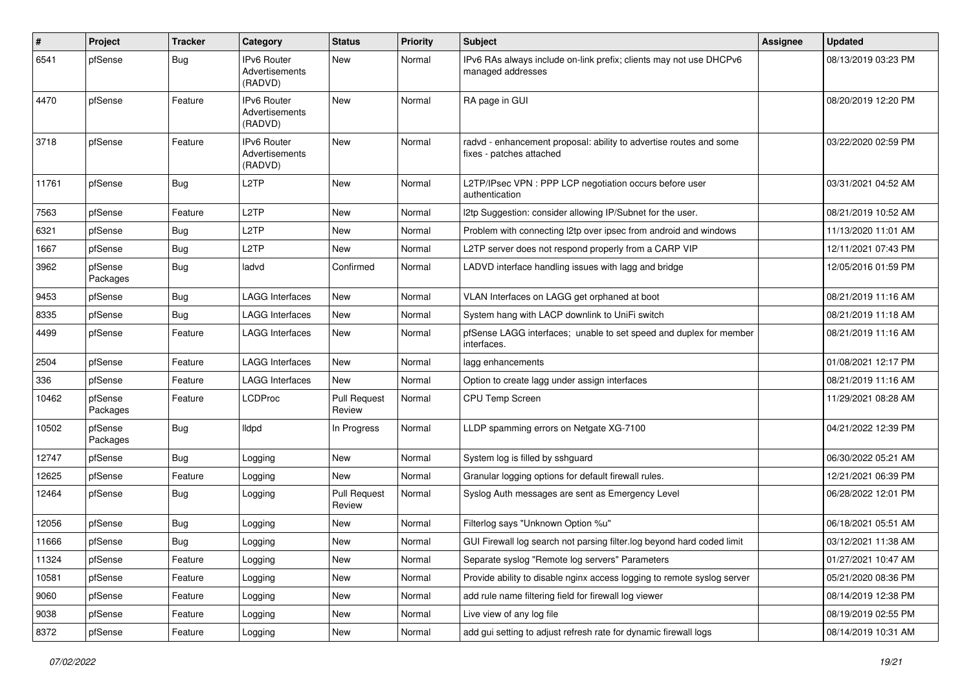| $\vert$ # | Project             | <b>Tracker</b> | Category                                               | <b>Status</b>                 | <b>Priority</b> | <b>Subject</b>                                                                                 | Assignee | <b>Updated</b>      |
|-----------|---------------------|----------------|--------------------------------------------------------|-------------------------------|-----------------|------------------------------------------------------------------------------------------------|----------|---------------------|
| 6541      | pfSense             | Bug            | <b>IPv6 Router</b><br><b>Advertisements</b><br>(RADVD) | New                           | Normal          | IPv6 RAs always include on-link prefix; clients may not use DHCPv6<br>managed addresses        |          | 08/13/2019 03:23 PM |
| 4470      | pfSense             | Feature        | <b>IPv6 Router</b><br>Advertisements<br>(RADVD)        | <b>New</b>                    | Normal          | RA page in GUI                                                                                 |          | 08/20/2019 12:20 PM |
| 3718      | pfSense             | Feature        | IPv6 Router<br>Advertisements<br>(RADVD)               | New                           | Normal          | radvd - enhancement proposal: ability to advertise routes and some<br>fixes - patches attached |          | 03/22/2020 02:59 PM |
| 11761     | pfSense             | Bug            | L <sub>2</sub> TP                                      | New                           | Normal          | L2TP/IPsec VPN : PPP LCP negotiation occurs before user<br>authentication                      |          | 03/31/2021 04:52 AM |
| 7563      | pfSense             | Feature        | L <sub>2</sub> TP                                      | New                           | Normal          | 12tp Suggestion: consider allowing IP/Subnet for the user.                                     |          | 08/21/2019 10:52 AM |
| 6321      | pfSense             | Bug            | L <sub>2</sub> TP                                      | New                           | Normal          | Problem with connecting I2tp over ipsec from android and windows                               |          | 11/13/2020 11:01 AM |
| 1667      | pfSense             | Bug            | L <sub>2</sub> TP                                      | New                           | Normal          | L2TP server does not respond properly from a CARP VIP                                          |          | 12/11/2021 07:43 PM |
| 3962      | pfSense<br>Packages | Bug            | ladvd                                                  | Confirmed                     | Normal          | LADVD interface handling issues with lagg and bridge                                           |          | 12/05/2016 01:59 PM |
| 9453      | pfSense             | Bug            | <b>LAGG Interfaces</b>                                 | New                           | Normal          | VLAN Interfaces on LAGG get orphaned at boot                                                   |          | 08/21/2019 11:16 AM |
| 8335      | pfSense             | Bug            | LAGG Interfaces                                        | New                           | Normal          | System hang with LACP downlink to UniFi switch                                                 |          | 08/21/2019 11:18 AM |
| 4499      | pfSense             | Feature        | <b>LAGG Interfaces</b>                                 | New                           | Normal          | pfSense LAGG interfaces; unable to set speed and duplex for member<br>interfaces.              |          | 08/21/2019 11:16 AM |
| 2504      | pfSense             | Feature        | <b>LAGG Interfaces</b>                                 | New                           | Normal          | lagg enhancements                                                                              |          | 01/08/2021 12:17 PM |
| 336       | pfSense             | Feature        | <b>LAGG Interfaces</b>                                 | New                           | Normal          | Option to create lagg under assign interfaces                                                  |          | 08/21/2019 11:16 AM |
| 10462     | pfSense<br>Packages | Feature        | <b>LCDProc</b>                                         | <b>Pull Request</b><br>Review | Normal          | CPU Temp Screen                                                                                |          | 11/29/2021 08:28 AM |
| 10502     | pfSense<br>Packages | Bug            | lldpd                                                  | In Progress                   | Normal          | LLDP spamming errors on Netgate XG-7100                                                        |          | 04/21/2022 12:39 PM |
| 12747     | pfSense             | <b>Bug</b>     | Logging                                                | New                           | Normal          | System log is filled by sshguard                                                               |          | 06/30/2022 05:21 AM |
| 12625     | pfSense             | Feature        | Logging                                                | New                           | Normal          | Granular logging options for default firewall rules.                                           |          | 12/21/2021 06:39 PM |
| 12464     | pfSense             | Bug            | Logging                                                | <b>Pull Request</b><br>Review | Normal          | Syslog Auth messages are sent as Emergency Level                                               |          | 06/28/2022 12:01 PM |
| 12056     | pfSense             | <b>Bug</b>     | Logging                                                | New                           | Normal          | Filterlog says "Unknown Option %u"                                                             |          | 06/18/2021 05:51 AM |
| 11666     | pfSense             | Bug            | Logging                                                | New                           | Normal          | GUI Firewall log search not parsing filter.log beyond hard coded limit                         |          | 03/12/2021 11:38 AM |
| 11324     | pfSense             | Feature        | Logging                                                | New                           | Normal          | Separate syslog "Remote log servers" Parameters                                                |          | 01/27/2021 10:47 AM |
| 10581     | pfSense             | Feature        | Logging                                                | New                           | Normal          | Provide ability to disable nginx access logging to remote syslog server                        |          | 05/21/2020 08:36 PM |
| 9060      | pfSense             | Feature        | Logging                                                | New                           | Normal          | add rule name filtering field for firewall log viewer                                          |          | 08/14/2019 12:38 PM |
| 9038      | pfSense             | Feature        | Logging                                                | New                           | Normal          | Live view of any log file                                                                      |          | 08/19/2019 02:55 PM |
| 8372      | pfSense             | Feature        | Logging                                                | New                           | Normal          | add gui setting to adjust refresh rate for dynamic firewall logs                               |          | 08/14/2019 10:31 AM |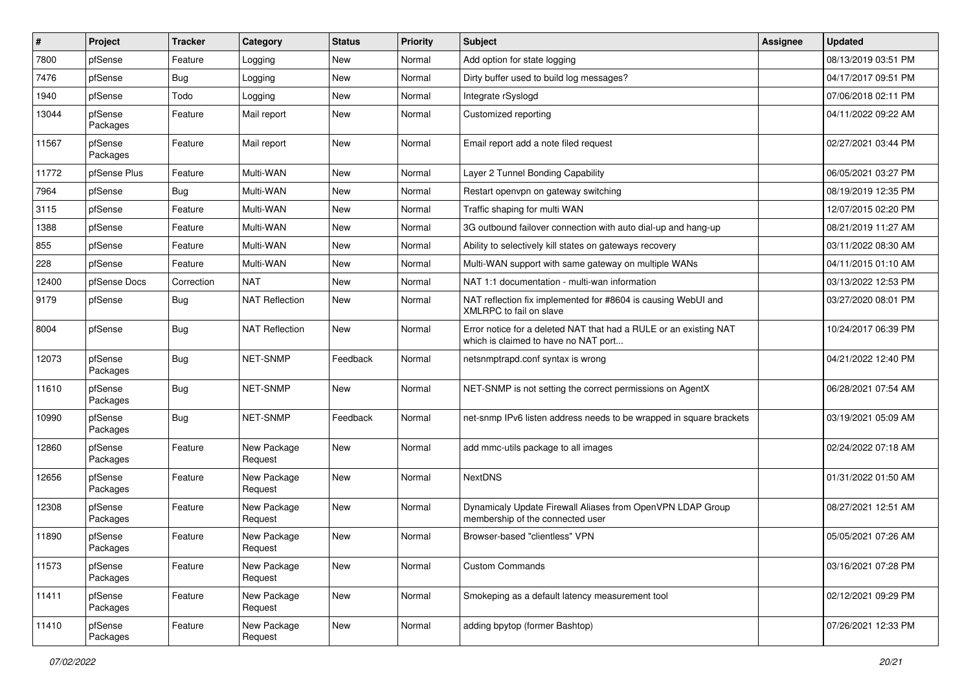| ∦     | Project             | Tracker    | Category               | <b>Status</b> | <b>Priority</b> | Subject                                                                                                   | <b>Assignee</b> | <b>Updated</b>      |
|-------|---------------------|------------|------------------------|---------------|-----------------|-----------------------------------------------------------------------------------------------------------|-----------------|---------------------|
| 7800  | pfSense             | Feature    | Logging                | New           | Normal          | Add option for state logging                                                                              |                 | 08/13/2019 03:51 PM |
| 7476  | pfSense             | Bug        | Logging                | New           | Normal          | Dirty buffer used to build log messages?                                                                  |                 | 04/17/2017 09:51 PM |
| 1940  | pfSense             | Todo       | Logging                | New           | Normal          | Integrate rSyslogd                                                                                        |                 | 07/06/2018 02:11 PM |
| 13044 | pfSense<br>Packages | Feature    | Mail report            | New           | Normal          | Customized reporting                                                                                      |                 | 04/11/2022 09:22 AM |
| 11567 | pfSense<br>Packages | Feature    | Mail report            | New           | Normal          | Email report add a note filed request                                                                     |                 | 02/27/2021 03:44 PM |
| 11772 | pfSense Plus        | Feature    | Multi-WAN              | New           | Normal          | Layer 2 Tunnel Bonding Capability                                                                         |                 | 06/05/2021 03:27 PM |
| 7964  | pfSense             | Bug        | Multi-WAN              | New           | Normal          | Restart openvpn on gateway switching                                                                      |                 | 08/19/2019 12:35 PM |
| 3115  | pfSense             | Feature    | Multi-WAN              | New           | Normal          | Traffic shaping for multi WAN                                                                             |                 | 12/07/2015 02:20 PM |
| 1388  | pfSense             | Feature    | Multi-WAN              | New           | Normal          | 3G outbound failover connection with auto dial-up and hang-up                                             |                 | 08/21/2019 11:27 AM |
| 855   | pfSense             | Feature    | Multi-WAN              | New           | Normal          | Ability to selectively kill states on gateways recovery                                                   |                 | 03/11/2022 08:30 AM |
| 228   | pfSense             | Feature    | Multi-WAN              | New           | Normal          | Multi-WAN support with same gateway on multiple WANs                                                      |                 | 04/11/2015 01:10 AM |
| 12400 | pfSense Docs        | Correction | <b>NAT</b>             | New           | Normal          | NAT 1:1 documentation - multi-wan information                                                             |                 | 03/13/2022 12:53 PM |
| 9179  | pfSense             | <b>Bug</b> | <b>NAT Reflection</b>  | New           | Normal          | NAT reflection fix implemented for #8604 is causing WebUI and<br>XMLRPC to fail on slave                  |                 | 03/27/2020 08:01 PM |
| 8004  | pfSense             | <b>Bug</b> | <b>NAT Reflection</b>  | New           | Normal          | Error notice for a deleted NAT that had a RULE or an existing NAT<br>which is claimed to have no NAT port |                 | 10/24/2017 06:39 PM |
| 12073 | pfSense<br>Packages | Bug        | NET-SNMP               | Feedback      | Normal          | netsnmptrapd.conf syntax is wrong                                                                         |                 | 04/21/2022 12:40 PM |
| 11610 | pfSense<br>Packages | <b>Bug</b> | <b>NET-SNMP</b>        | <b>New</b>    | Normal          | NET-SNMP is not setting the correct permissions on AgentX                                                 |                 | 06/28/2021 07:54 AM |
| 10990 | pfSense<br>Packages | Bug        | NET-SNMP               | Feedback      | Normal          | net-snmp IPv6 listen address needs to be wrapped in square brackets                                       |                 | 03/19/2021 05:09 AM |
| 12860 | pfSense<br>Packages | Feature    | New Package<br>Request | New           | Normal          | add mmc-utils package to all images                                                                       |                 | 02/24/2022 07:18 AM |
| 12656 | pfSense<br>Packages | Feature    | New Package<br>Request | New           | Normal          | <b>NextDNS</b>                                                                                            |                 | 01/31/2022 01:50 AM |
| 12308 | pfSense<br>Packages | Feature    | New Package<br>Request | New           | Normal          | Dynamicaly Update Firewall Aliases from OpenVPN LDAP Group<br>membership of the connected user            |                 | 08/27/2021 12:51 AM |
| 11890 | pfSense<br>Packages | Feature    | New Package<br>Request | New           | Normal          | Browser-based "clientless" VPN                                                                            |                 | 05/05/2021 07:26 AM |
| 11573 | pfSense<br>Packages | Feature    | New Package<br>Request | New           | Normal          | <b>Custom Commands</b>                                                                                    |                 | 03/16/2021 07:28 PM |
| 11411 | pfSense<br>Packages | Feature    | New Package<br>Request | New           | Normal          | Smokeping as a default latency measurement tool                                                           |                 | 02/12/2021 09:29 PM |
| 11410 | pfSense<br>Packages | Feature    | New Package<br>Request | New           | Normal          | adding bpytop (former Bashtop)                                                                            |                 | 07/26/2021 12:33 PM |